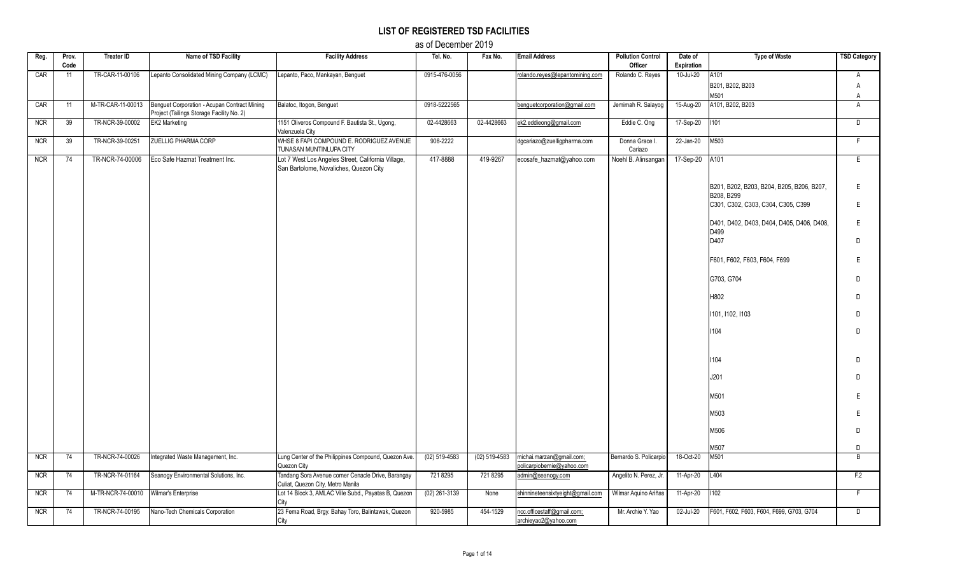## **LIST OF REGISTERED TSD FACILITIES**

as of December 2019

| Reg.       | Prov.<br>Code | <b>Treater ID</b> | Name of TSD Facility                                                                      | <b>Facility Address</b>                                                                      | Tel. No.        | Fax No.       | <b>Email Address</b>                                   | <b>Pollution Control</b><br>Officer | Date of<br>Expiration   | <b>Type of Waste</b>                                    | <b>TSD Category</b> |
|------------|---------------|-------------------|-------------------------------------------------------------------------------------------|----------------------------------------------------------------------------------------------|-----------------|---------------|--------------------------------------------------------|-------------------------------------|-------------------------|---------------------------------------------------------|---------------------|
| CAR        | 11            | TR-CAR-11-00106   | Lepanto Consolidated Mining Company (LCMC)                                                | Lepanto, Paco, Mankayan, Benguet                                                             | 0915-476-0056   |               | rolando.reyes@lepantomining.com                        | Rolando C. Reyes                    | 10-Jul-20               | A101                                                    | A                   |
|            |               |                   |                                                                                           |                                                                                              |                 |               |                                                        |                                     |                         | B201, B202, B203                                        | A                   |
| CAR        | 11            | M-TR-CAR-11-00013 | Benguet Corporation - Acupan Contract Mining<br>Project (Tailings Storage Facility No. 2) | Balatoc, Itogon, Benguet                                                                     | 0918-5222565    |               | benguetcorporation@gmail.com                           | Jemimah R. Salayog                  | 15-Aug-20               | M501<br>A101, B202, B203                                | A<br>$\overline{A}$ |
| <b>NCR</b> | 39            | TR-NCR-39-00002   | EK2 Marketing                                                                             | 1151 Oliveros Compound F. Bautista St., Ugong,<br>Valenzuela City                            | 02-4428663      | 02-4428663    | ek2.eddieong@gmail.com                                 | Eddie C. Ong                        | 17-Sep-20               | 1101                                                    | D                   |
| <b>NCR</b> | 39            | TR-NCR-39-00251   | <b>ZUELLIG PHARMA CORP</b>                                                                | WHSE 8 FAPI COMPOUND E. RODRIGUEZ AVENUE<br>TUNASAN MUNTINLUPA CITY                          | 908-2222        |               | dgcariazo@zuelligpharma.com                            | Donna Grace I.<br>Cariazo           | $\overline{22}$ -Jan-20 | M503                                                    | F.                  |
| <b>NCR</b> | 74            | TR-NCR-74-00006   | Eco Safe Hazmat Treatment Inc.                                                            | Lot 7 West Los Angeles Street, California Village,<br>San Bartolome, Novaliches, Quezon City | 417-8888        | 419-9267      | ecosafe_hazmat@yahoo.com                               | Noehl B. Alinsangan                 | 17-Sep-20               | A101                                                    | E                   |
|            |               |                   |                                                                                           |                                                                                              |                 |               |                                                        |                                     |                         |                                                         |                     |
|            |               |                   |                                                                                           |                                                                                              |                 |               |                                                        |                                     |                         | B201, B202, B203, B204, B205, B206, B207,<br>B208, B299 | E.                  |
|            |               |                   |                                                                                           |                                                                                              |                 |               |                                                        |                                     |                         | C301, C302, C303, C304, C305, C399                      | Ε                   |
|            |               |                   |                                                                                           |                                                                                              |                 |               |                                                        |                                     |                         | D401, D402, D403, D404, D405, D406, D408,<br>D499       | E                   |
|            |               |                   |                                                                                           |                                                                                              |                 |               |                                                        |                                     |                         | D407                                                    | D.                  |
|            |               |                   |                                                                                           |                                                                                              |                 |               |                                                        |                                     |                         | F601, F602, F603, F604, F699                            | E                   |
|            |               |                   |                                                                                           |                                                                                              |                 |               |                                                        |                                     |                         | G703, G704                                              | D.                  |
|            |               |                   |                                                                                           |                                                                                              |                 |               |                                                        |                                     |                         | H802                                                    | D.                  |
|            |               |                   |                                                                                           |                                                                                              |                 |               |                                                        |                                     |                         | 1101, 1102, 1103                                        | D.                  |
|            |               |                   |                                                                                           |                                                                                              |                 |               |                                                        |                                     |                         | 1104                                                    | D                   |
|            |               |                   |                                                                                           |                                                                                              |                 |               |                                                        |                                     |                         |                                                         |                     |
|            |               |                   |                                                                                           |                                                                                              |                 |               |                                                        |                                     |                         | 1104                                                    | D                   |
|            |               |                   |                                                                                           |                                                                                              |                 |               |                                                        |                                     |                         | J201                                                    | D.                  |
|            |               |                   |                                                                                           |                                                                                              |                 |               |                                                        |                                     |                         | M501                                                    | E                   |
|            |               |                   |                                                                                           |                                                                                              |                 |               |                                                        |                                     |                         | M503                                                    | E                   |
|            |               |                   |                                                                                           |                                                                                              |                 |               |                                                        |                                     |                         | M506                                                    | D                   |
|            |               |                   |                                                                                           |                                                                                              |                 |               |                                                        |                                     |                         | M507                                                    | D                   |
| <b>NCR</b> | 74            | TR-NCR-74-00026   | Integrated Waste Management, Inc.                                                         | Lung Center of the Philippines Compound, Quezon Ave.<br>Quezon City                          | $(02)$ 519-4583 | (02) 519-4583 | michai.marzan@gmail.com;<br>policarpiobernie@yahoo.com | Bernardo S. Policarpio              | 18-Oct-20               | M501                                                    | $\overline{B}$      |
| <b>NCR</b> | 74            | TR-NCR-74-01164   | Seanogy Environmental Solutions, Inc.                                                     | Tandang Sora Avenue corner Cenacle Drive, Barangay<br>Culiat, Quezon City, Metro Manila      | 721 8295        | 721 8295      | admin@seanogy.com                                      | Angelito N. Perez, Jr.              | 11-Apr-20               | L404                                                    | F.2                 |
| <b>NCR</b> | 74            | M-TR-NCR-74-00010 | Wilmar's Enterprise                                                                       | Lot 14 Block 3, AMLAC Ville Subd., Payatas B, Quezon<br>City                                 | $(02)$ 261-3139 | None          | shinnineteensixtyeight@gmail.com                       | Wilmar Aquino Ariñas                | 11-Apr-20               | 1102                                                    | F.                  |
| <b>NCR</b> | 74            | TR-NCR-74-00195   | Nano-Tech Chemicals Corporation                                                           | 23 Fema Road, Brgy. Bahay Toro, Balintawak, Quezon<br>City                                   | 920-5985        | 454-1529      | ncc.officestaff@gmail.com;<br>archieyao2@yahoo.com     | Mr. Archie Y. Yao                   | 02-Jul-20               | F601, F602, F603, F604, F699, G703, G704                | $\overline{D}$      |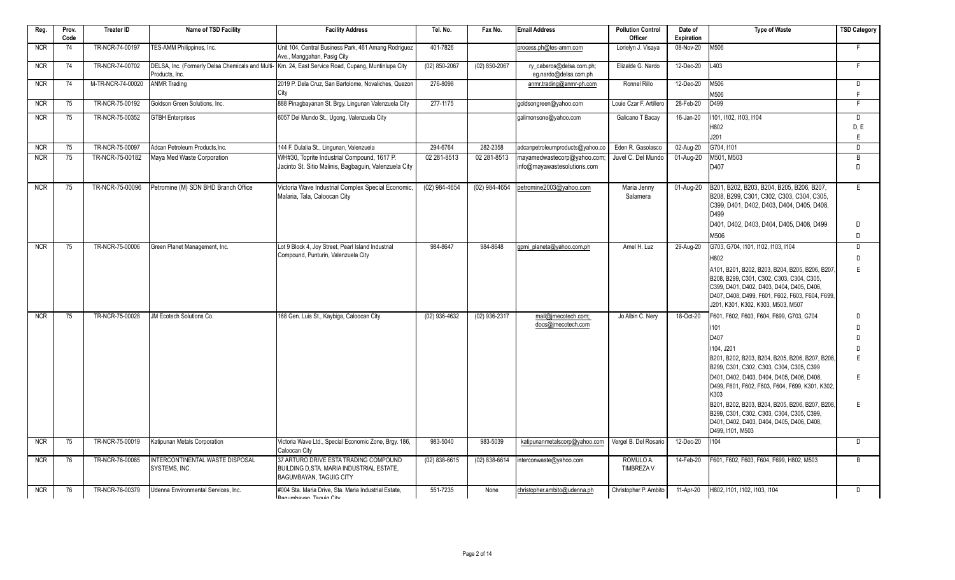| Reg.       | Prov.<br>Code | <b>Treater ID</b> | Name of TSD Facility                             | <b>Facility Address</b>                                                                                              | Tel. No.        | Fax No.         | <b>Email Address</b>                              | <b>Pollution Control</b><br>Officer | Date of<br>Expiration | <b>Type of Waste</b>                                                                                                                                                                                                              | <b>TSD Category</b> |
|------------|---------------|-------------------|--------------------------------------------------|----------------------------------------------------------------------------------------------------------------------|-----------------|-----------------|---------------------------------------------------|-------------------------------------|-----------------------|-----------------------------------------------------------------------------------------------------------------------------------------------------------------------------------------------------------------------------------|---------------------|
| <b>NCR</b> | 74            | TR-NCR-74-00197   | TES-AMM Philippines, Inc.                        | Unit 104, Central Business Park, 461 Amang Rodriguez<br>Ave., Manggahan, Pasig City                                  | 401-7826        |                 | process.ph@tes-amm.com                            | Lorielyn J. Visaya                  | 08-Nov-20             | M506                                                                                                                                                                                                                              | F                   |
| <b>NCR</b> | 74            | TR-NCR-74-00702   | Products, Inc.                                   | DELSA, Inc. (Formerly Delsa Chemicals and Multi- Km. 24, East Service Road, Cupang, Muntinlupa City                  | $(02)$ 850-2067 | $(02)$ 850-2067 | ry caberos@delsa.com.ph;<br>eg.nardo@delsa.com.ph | Elizalde G. Nardo                   | 12-Dec-20             | L403                                                                                                                                                                                                                              | F.                  |
| <b>NCR</b> | 74            | M-TR-NCR-74-00020 | <b>ANMR Trading</b>                              | 2019 P. Dela Cruz, San Bartolome, Novaliches, Quezon<br>City                                                         | 276-8098        |                 | anmr.trading@anmr-ph.com                          | Ronnel Rillo                        | 12-Dec-20             | M506<br>M506                                                                                                                                                                                                                      | D<br>F              |
| <b>NCR</b> | 75            | TR-NCR-75-00192   | Goldson Green Solutions. Inc.                    | 888 Pinagbayanan St. Brgy. Lingunan Valenzuela City                                                                  | 277-1175        |                 | goldsongreen@yahoo.com                            | Louie Czar F. Artillero             | 28-Feb-20             | D499                                                                                                                                                                                                                              | F                   |
| <b>NCR</b> | 75            | TR-NCR-75-00352   | <b>GTBH Enterprises</b>                          | 6057 Del Mundo St., Ugong, Valenzuela City                                                                           |                 |                 | galimonsone@yahoo.com                             | Galicano T Bacay                    | 16-Jan-20             | 1101, 1102, 1103, 1104                                                                                                                                                                                                            | $\overline{D}$      |
|            |               |                   |                                                  |                                                                                                                      |                 |                 |                                                   |                                     |                       | H802                                                                                                                                                                                                                              | D, E                |
| <b>NCR</b> | 75            | TR-NCR-75-00097   | Adcan Petroleum Products.Inc.                    | 144 F. Dulalia St., Lingunan, Valenzuela                                                                             | 294-6764        | 282-2358        | adcanpetroleumproducts@yahoo.co                   | Eden R. Gasolasco                   | 02-Aug-20             | J201<br>G704, I101                                                                                                                                                                                                                | $\mathsf E$<br>D    |
| <b>NCR</b> | 75            | TR-NCR-75-00182   | Maya Med Waste Corporation                       | WH#30, Toprite Industrial Compound, 1617 P.                                                                          | 02 281-8513     | 02 281-8513     | mayamedwastecorp@yahoo.com                        | Juvel C. Del Mundo                  | 01-Aug-20             | M501, M503                                                                                                                                                                                                                        | $\overline{B}$      |
|            |               |                   |                                                  | Jacinto St. Sitio Malinis, Bagbaguin, Valenzuela City                                                                |                 |                 | info@mayawastesolutions.com                       |                                     |                       | D407                                                                                                                                                                                                                              | D                   |
| <b>NCR</b> | 75            | TR-NCR-75-00096   | Petromine (M) SDN BHD Branch Office              | Victoria Wave Industrial Complex Special Economic,<br>Malaria, Tala, Caloocan City                                   | $(02)$ 984-4654 | $(02)$ 984-4654 | petromine2003@yahoo.com                           | Maria Jenny<br>Salamera             | 01-Aug-20             | B201, B202, B203, B204, B205, B206, B207,<br>B208, B299, C301, C302, C303, C304, C305,<br>C399, D401, D402, D403, D404, D405, D408,<br>D499                                                                                       | E                   |
|            |               |                   |                                                  |                                                                                                                      |                 |                 |                                                   |                                     |                       | D401, D402, D403, D404, D405, D408, D499                                                                                                                                                                                          | D                   |
|            |               |                   |                                                  |                                                                                                                      |                 |                 |                                                   |                                     |                       | M506                                                                                                                                                                                                                              | D                   |
| <b>NCR</b> | 75            | TR-NCR-75-00006   | Green Planet Management, Inc.                    | Lot 9 Block 4, Joy Street, Pearl Island Industrial<br>Compound, Punturin, Valenzuela City                            | 984-8647        | 984-8648        | qpmi planeta@yahoo.com.ph                         | Arnel H. Luz                        | 29-Aug-20             | G703, G704, I101, I102, I103, I104                                                                                                                                                                                                | D                   |
|            |               |                   |                                                  |                                                                                                                      |                 |                 |                                                   |                                     |                       | H802                                                                                                                                                                                                                              | D                   |
|            |               |                   |                                                  |                                                                                                                      |                 |                 |                                                   |                                     |                       | A101, B201, B202, B203, B204, B205, B206, B207<br>B208, B299, C301, C302, C303, C304, C305,<br>C399, D401, D402, D403, D404, D405, D406,<br>D407, D408, D499, F601, F602, F603, F604, F699,<br>J201, K301, K302, K303, M503, M507 | E                   |
| <b>NCR</b> | 75            | TR-NCR-75-00028   | JM Ecotech Solutions Co.                         | 168 Gen. Luis St., Kaybiga, Caloocan City                                                                            | (02) 936-4632   | (02) 936-2317   | mail@jmecotech.com;                               | Jo Albin C. Nery                    | 18-Oct-20             | F601, F602, F603, F604, F699, G703, G704                                                                                                                                                                                          | D                   |
|            |               |                   |                                                  |                                                                                                                      |                 |                 | docs@imecotech.com                                |                                     |                       | 1101                                                                                                                                                                                                                              | D                   |
|            |               |                   |                                                  |                                                                                                                      |                 |                 |                                                   |                                     |                       | D407                                                                                                                                                                                                                              | D                   |
|            |               |                   |                                                  |                                                                                                                      |                 |                 |                                                   |                                     |                       | 1104, J201                                                                                                                                                                                                                        | D                   |
|            |               |                   |                                                  |                                                                                                                      |                 |                 |                                                   |                                     |                       | B201, B202, B203, B204, B205, B206, B207, B208,<br>B299, C301, C302, C303, C304, C305, C399                                                                                                                                       | E                   |
|            |               |                   |                                                  |                                                                                                                      |                 |                 |                                                   |                                     |                       | D401, D402, D403, D404, D405, D406, D408,<br>D499, F601, F602, F603, F604, F699, K301, K302,<br>K303                                                                                                                              | E                   |
|            |               |                   |                                                  |                                                                                                                      |                 |                 |                                                   |                                     |                       | B201, B202, B203, B204, B205, B206, B207, B208,<br>B299, C301, C302, C303, C304, C305, C399,<br>D401, D402, D403, D404, D405, D406, D408,<br>D499, I101, M503                                                                     | $\mathsf E$         |
| <b>NCR</b> | 75            | TR-NCR-75-00019   | Katipunan Metals Corporation                     | Victoria Wave Ltd., Special Economic Zone, Brgy. 186,<br>Caloocan City                                               | 983-5040        | 983-5039        | katipunanmetalscorp@yahoo.com                     | Vergel B. Del Rosario               | 12-Dec-20             | 1104                                                                                                                                                                                                                              | D                   |
| <b>NCR</b> | 76            | TR-NCR-76-00085   | INTERCONTINENTAL WASTE DISPOSAL<br>SYSTEMS, INC. | 37 ARTURO DRIVE ESTA TRADING COMPOUND<br>BUILDING D, STA. MARIA INDUSTRIAL ESTATE,<br><b>BAGUMBAYAN, TAGUIG CITY</b> | (02) 838-6615   | $(02)$ 838-6614 | interconwaste@yahoo.com                           | ROMULO A.<br><b>TIMBREZA V</b>      | 14-Feb-20             | F601, F602, F603, F604, F699, H802, M503                                                                                                                                                                                          | $\overline{B}$      |
| <b>NCR</b> | 76            | TR-NCR-76-00379   | Udenna Environmental Services, Inc.              | #004 Sta. Maria Drive, Sta. Maria Industrial Estate,<br>Documbovan Toquia City                                       | 551-7235        | None            | christopher.ambito@udenna.ph                      | Christopher P. Ambito               | 11-Apr-20             | H802, I101, I102, I103, I104                                                                                                                                                                                                      | D.                  |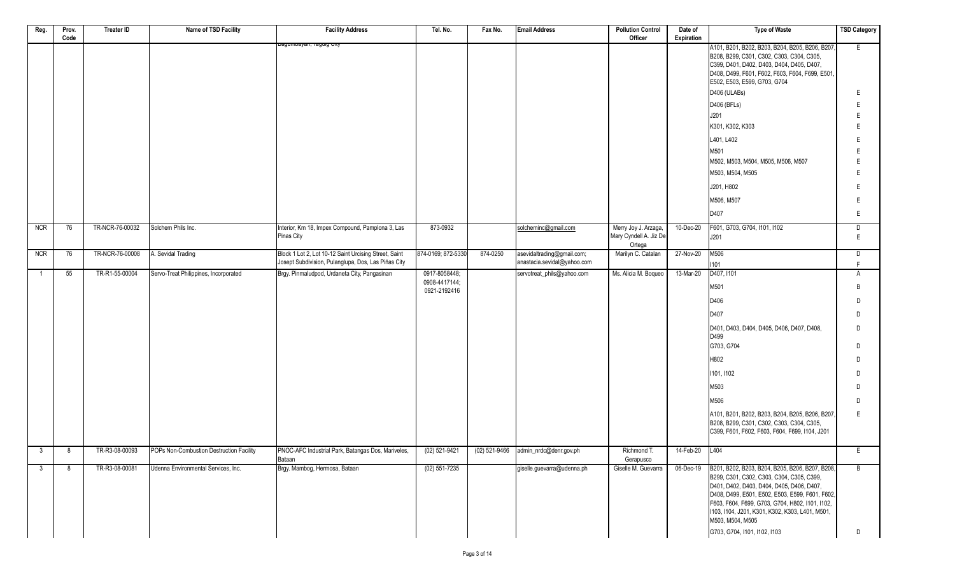| Reg.           | Prov.<br>Code | <b>Treater ID</b> | Name of TSD Facility                     | <b>Facility Address</b>                                        | Tel. No.                       | Fax No.  | <b>Email Address</b>                 | <b>Pollution Control</b><br>Officer                      | Date of<br>Expiration | <b>Type of Waste</b>                                                                                                                                                                                                                                                | <b>TSD Category</b> |
|----------------|---------------|-------------------|------------------------------------------|----------------------------------------------------------------|--------------------------------|----------|--------------------------------------|----------------------------------------------------------|-----------------------|---------------------------------------------------------------------------------------------------------------------------------------------------------------------------------------------------------------------------------------------------------------------|---------------------|
|                |               |                   |                                          | <del>Dayumbayan, Tayuig City</del>                             |                                |          |                                      |                                                          |                       | A101, B201, B202, B203, B204, B205, B206, B207,<br>B208, B299, C301, C302, C303, C304, C305,<br>C399, D401, D402, D403, D404, D405, D407,<br>D408, D499, F601, F602, F603, F604, F699, E501<br>E502, E503, E599, G703, G704                                         | E.                  |
|                |               |                   |                                          |                                                                |                                |          |                                      |                                                          |                       | D406 (ULABs)                                                                                                                                                                                                                                                        | E                   |
|                |               |                   |                                          |                                                                |                                |          |                                      |                                                          |                       | D406 (BFLs)                                                                                                                                                                                                                                                         | Е                   |
|                |               |                   |                                          |                                                                |                                |          |                                      |                                                          |                       | J201                                                                                                                                                                                                                                                                | E                   |
|                |               |                   |                                          |                                                                |                                |          |                                      |                                                          |                       | K301, K302, K303                                                                                                                                                                                                                                                    | E                   |
|                |               |                   |                                          |                                                                |                                |          |                                      |                                                          |                       | L401, L402                                                                                                                                                                                                                                                          | E                   |
|                |               |                   |                                          |                                                                |                                |          |                                      |                                                          |                       | M501                                                                                                                                                                                                                                                                |                     |
|                |               |                   |                                          |                                                                |                                |          |                                      |                                                          |                       | M502, M503, M504, M505, M506, M507                                                                                                                                                                                                                                  |                     |
|                |               |                   |                                          |                                                                |                                |          |                                      |                                                          |                       | M503, M504, M505                                                                                                                                                                                                                                                    | Е                   |
|                |               |                   |                                          |                                                                |                                |          |                                      |                                                          |                       | J201, H802                                                                                                                                                                                                                                                          | F                   |
|                |               |                   |                                          |                                                                |                                |          |                                      |                                                          |                       | M506, M507                                                                                                                                                                                                                                                          | Е                   |
|                |               |                   |                                          |                                                                |                                |          |                                      |                                                          |                       | D407                                                                                                                                                                                                                                                                | E                   |
| <b>NCR</b>     | 76            | TR-NCR-76-00032   | Solchem Phils Inc.                       | Interior, Km 18, Impex Compound, Pamplona 3, Las<br>Pinas City | 873-0932                       |          | solcheminc@gmail.com                 | Merry Joy J. Arzaga,<br>Mary Cyndell A. Jiz De<br>Ortega | 10-Dec-20             | F601, G703, G704, I101, I102<br>J201                                                                                                                                                                                                                                | D<br>$\mathsf E$    |
| <b>NCR</b>     | 76            | TR-NCR-76-00008   | A. Sevidal Trading                       | Block 1 Lot 2, Lot 10-12 Saint Urcising Street, Saint          | 874-0169; 872-5330             | 874-0250 | asevidaltrading@gmail.com;           | Marilyn C. Catalan                                       | 27-Nov-20             | M506                                                                                                                                                                                                                                                                | D                   |
|                |               |                   |                                          | Josept Subdivision, Pulanglupa, Dos, Las Piñas City            |                                |          | anastacia.sevidal@yahoo.com          |                                                          |                       | 1101                                                                                                                                                                                                                                                                | F                   |
| $\overline{1}$ | 55            | TR-R1-55-00004    | Servo-Treat Philippines, Incorporated    | Brgy. Pinmaludpod, Urdaneta City, Pangasinan                   | 0917-8058448;<br>0908-4417144; |          | servotreat_phils@yahoo.com           | Ms. Alicia M. Boqueo                                     | 13-Mar-20             | D407, I101                                                                                                                                                                                                                                                          | A                   |
|                |               |                   |                                          |                                                                | 0921-2192416                   |          |                                      |                                                          |                       | M501                                                                                                                                                                                                                                                                | B                   |
|                |               |                   |                                          |                                                                |                                |          |                                      |                                                          |                       | D406                                                                                                                                                                                                                                                                | D                   |
|                |               |                   |                                          |                                                                |                                |          |                                      |                                                          |                       | D407                                                                                                                                                                                                                                                                | D                   |
|                |               |                   |                                          |                                                                |                                |          |                                      |                                                          |                       | D401, D403, D404, D405, D406, D407, D408,<br>D499                                                                                                                                                                                                                   | D                   |
|                |               |                   |                                          |                                                                |                                |          |                                      |                                                          |                       | G703, G704                                                                                                                                                                                                                                                          | D                   |
|                |               |                   |                                          |                                                                |                                |          |                                      |                                                          |                       | H802                                                                                                                                                                                                                                                                | D                   |
|                |               |                   |                                          |                                                                |                                |          |                                      |                                                          |                       | 1101, 1102                                                                                                                                                                                                                                                          | D                   |
|                |               |                   |                                          |                                                                |                                |          |                                      |                                                          |                       | M503                                                                                                                                                                                                                                                                | D                   |
|                |               |                   |                                          |                                                                |                                |          |                                      |                                                          |                       | M506                                                                                                                                                                                                                                                                | D                   |
|                |               |                   |                                          |                                                                |                                |          |                                      |                                                          |                       | A101, B201, B202, B203, B204, B205, B206, B207,<br>B208, B299, C301, C302, C303, C304, C305,<br>C399, F601, F602, F603, F604, F699, I104, J201                                                                                                                      | E                   |
| $\mathbf{3}$   | 8             | TR-R3-08-00093    | POPs Non-Combustion Destruction Facility | PNOC-AFC Industrial Park, Batangas Dos, Mariveles,             | $(02)$ 521-9421                |          | (02) 521-9466 admin_nrdc@denr.gov.ph | Richmond T.                                              | 14-Feb-20 L404        |                                                                                                                                                                                                                                                                     | E                   |
| $\mathbf{3}$   | 8             | TR-R3-08-00081    | Udenna Environmental Services, Inc.      | Bataan<br>Brgy. Mambog, Hermosa, Bataan                        | $(02) 551 - 7235$              |          | giselle.guevarra@udenna.ph           | Gerapusco<br>Giselle M. Guevarra                         | 06-Dec-19             | B201, B202, B203, B204, B205, B206, B207, B208,                                                                                                                                                                                                                     | B                   |
|                |               |                   |                                          |                                                                |                                |          |                                      |                                                          |                       | B299, C301, C302, C303, C304, C305, C399,<br>D401, D402, D403, D404, D405, D406, D407,<br>D408, D499, E501, E502, E503, E599, F601, F602,<br>F603, F604, F699, G703, G704, H802, I101, I102,<br>1103, 1104, J201, K301, K302, K303, L401, M501,<br>M503, M504, M505 |                     |
|                |               |                   |                                          |                                                                |                                |          |                                      |                                                          |                       | G703, G704, I101, I102, I103                                                                                                                                                                                                                                        | D                   |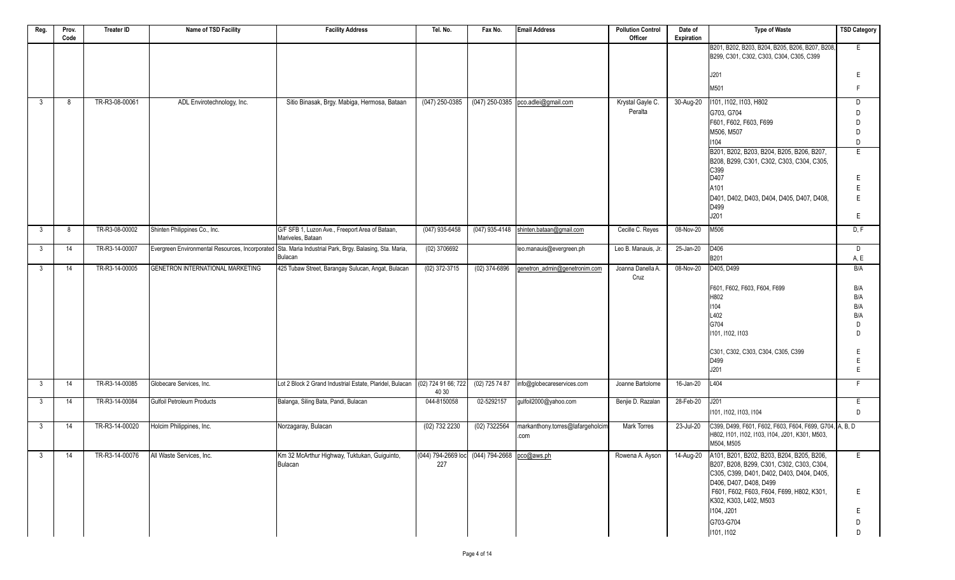| Reg.         | Prov.<br>Code | <b>Treater ID</b> | Name of TSD Facility             | <b>Facility Address</b>                                                                                            | Tel. No.                                            | Fax No.          | <b>Email Address</b>                    | <b>Pollution Control</b><br>Officer | Date of<br>Expiration | <b>Type of Waste</b>                                                                                                                                                    | <b>TSD Category</b> |
|--------------|---------------|-------------------|----------------------------------|--------------------------------------------------------------------------------------------------------------------|-----------------------------------------------------|------------------|-----------------------------------------|-------------------------------------|-----------------------|-------------------------------------------------------------------------------------------------------------------------------------------------------------------------|---------------------|
|              |               |                   |                                  |                                                                                                                    |                                                     |                  |                                         |                                     |                       | B201, B202, B203, B204, B205, B206, B207, B208,<br>B299, C301, C302, C303, C304, C305, C399                                                                             | E                   |
|              |               |                   |                                  |                                                                                                                    |                                                     |                  |                                         |                                     |                       | J201                                                                                                                                                                    | E                   |
|              |               |                   |                                  |                                                                                                                    |                                                     |                  |                                         |                                     |                       | M501                                                                                                                                                                    | F                   |
| 3            | 8             | TR-R3-08-00061    | ADL Envirotechnology, Inc.       | Sitio Binasak, Brgy. Mabiga, Hermosa, Bataan                                                                       | $(047)$ 250-0385                                    |                  | (047) 250-0385 pco.adlei@gmail.com      | Krystal Gayle C.                    | 30-Aug-20             | 1101, 1102, 1103, H802                                                                                                                                                  | D                   |
|              |               |                   |                                  |                                                                                                                    |                                                     |                  |                                         | Peralta                             |                       | G703, G704<br>F601, F602, F603, F699                                                                                                                                    | D.<br>D             |
|              |               |                   |                                  |                                                                                                                    |                                                     |                  |                                         |                                     |                       | M506, M507                                                                                                                                                              | D                   |
|              |               |                   |                                  |                                                                                                                    |                                                     |                  |                                         |                                     |                       | 1104                                                                                                                                                                    | D                   |
|              |               |                   |                                  |                                                                                                                    |                                                     |                  |                                         |                                     |                       | B201, B202, B203, B204, B205, B206, B207,<br>B208, B299, C301, C302, C303, C304, C305,<br>C399                                                                          | E                   |
|              |               |                   |                                  |                                                                                                                    |                                                     |                  |                                         |                                     |                       | D407                                                                                                                                                                    | E                   |
|              |               |                   |                                  |                                                                                                                    |                                                     |                  |                                         |                                     |                       | A101<br>D401, D402, D403, D404, D405, D407, D408,                                                                                                                       | Ε                   |
|              |               |                   |                                  |                                                                                                                    |                                                     |                  |                                         |                                     |                       | D499                                                                                                                                                                    | E                   |
|              |               |                   |                                  |                                                                                                                    |                                                     |                  |                                         |                                     |                       | J201                                                                                                                                                                    | E                   |
| $\mathbf{3}$ | 8             | TR-R3-08-00002    | Shinten Philippines Co., Inc.    | G/F SFB 1, Luzon Ave., Freeport Area of Bataan,<br>Mariveles, Bataan                                               | $(047)$ 935-6458                                    |                  | (047) 935-4148 shinten.bataan@gmail.com | Cecille C. Reyes                    | 08-Nov-20             | M506                                                                                                                                                                    | D, F                |
| 3            | 14            | TR-R3-14-00007    |                                  | Evergreen Environmental Resources, Incorporated Sta. Maria Industrial Park, Brgy. Balasing, Sta. Maria,<br>Bulacan | $(02)$ 3706692                                      |                  | leo.manauis@evergreen.ph                | Leo B. Manauis, Jr.                 | 25-Jan-20             | D406                                                                                                                                                                    | D                   |
| 3            | 14            | TR-R3-14-00005    | GENETRON INTERNATIONAL MARKETING | 425 Tubaw Street, Barangay Sulucan, Angat, Bulacan                                                                 | $(02)$ 372-3715                                     | $(02)$ 374-6896  | genetron_admin@genetronim.com           | Joanna Danella A.                   | 08-Nov-20             | B201<br>D405, D499                                                                                                                                                      | A, E<br>B/A         |
|              |               |                   |                                  |                                                                                                                    |                                                     |                  |                                         | Cruz                                |                       |                                                                                                                                                                         |                     |
|              |               |                   |                                  |                                                                                                                    |                                                     |                  |                                         |                                     |                       | F601, F602, F603, F604, F699                                                                                                                                            | B/A                 |
|              |               |                   |                                  |                                                                                                                    |                                                     |                  |                                         |                                     |                       | H802<br>1104                                                                                                                                                            | B/A<br>B/A          |
|              |               |                   |                                  |                                                                                                                    |                                                     |                  |                                         |                                     |                       | L402                                                                                                                                                                    | B/A                 |
|              |               |                   |                                  |                                                                                                                    |                                                     |                  |                                         |                                     |                       | G704                                                                                                                                                                    | D                   |
|              |               |                   |                                  |                                                                                                                    |                                                     |                  |                                         |                                     |                       | 1101, 1102, 1103                                                                                                                                                        | D                   |
|              |               |                   |                                  |                                                                                                                    |                                                     |                  |                                         |                                     |                       | C301, C302, C303, C304, C305, C399                                                                                                                                      | E                   |
|              |               |                   |                                  |                                                                                                                    |                                                     |                  |                                         |                                     |                       | D499<br>J201                                                                                                                                                            | E<br>E              |
|              |               | TR-R3-14-00085    | Globecare Services, Inc.         | Lot 2 Block 2 Grand Industrial Estate, Plaridel, Bulacan                                                           | (02) 724 91 66; 722                                 | $(02)$ 725 74 87 |                                         | Joanne Bartolome                    | 16-Jan-20             | L404                                                                                                                                                                    | F.                  |
| 3            | 14            |                   |                                  |                                                                                                                    | 40 30                                               |                  | info@globecareservices.com              |                                     |                       |                                                                                                                                                                         |                     |
| $\mathbf{3}$ | 14            | TR-R3-14-00084    | Gulfoil Petroleum Products       | Balanga, Siling Bata, Pandi, Bulacan                                                                               | 044-8150058                                         | 02-5292157       | gulfoil2000@yahoo.com                   | Benjie D. Razalan                   | 28-Feb-20             | J201<br>1101, 1102, 1103, 1104                                                                                                                                          | E<br>D              |
| $\mathbf{3}$ | 14            | TR-R3-14-00020    | Holcim Philippines, Inc.         | Norzagaray, Bulacan                                                                                                | $(02)$ 732 2230                                     | $(02)$ 7322564   | markanthony.torres@lafargeholcim        | <b>Mark Torres</b>                  | 23-Jul-20             | C399, D499, F601, F602, F603, F604, F699, G704, A, B, D                                                                                                                 |                     |
|              |               |                   |                                  |                                                                                                                    |                                                     |                  | .com                                    |                                     |                       | H802, I101, I102, I103, I104, J201, K301, M503,<br>M504, M505                                                                                                           |                     |
| 3            | 14            | TR-R3-14-00076    | All Waste Services, Inc.         | Km 32 McArthur Highway, Tuktukan, Guiguinto,<br>Bulacan                                                            | (044) 794-2669 loc (044) 794-2668 pco@aws.ph<br>227 |                  |                                         | Rowena A. Ayson                     |                       | 14-Aug-20 A101, B201, B202, B203, B204, B205, B206,<br>B207, B208, B299, C301, C302, C303, C304,<br>C305, C399, D401, D402, D403, D404, D405,<br>D406, D407, D408, D499 | E                   |
|              |               |                   |                                  |                                                                                                                    |                                                     |                  |                                         |                                     |                       | F601, F602, F603, F604, F699, H802, K301,<br>K302, K303, L402, M503                                                                                                     | E                   |
|              |               |                   |                                  |                                                                                                                    |                                                     |                  |                                         |                                     |                       | I104, J201                                                                                                                                                              | E                   |
|              |               |                   |                                  |                                                                                                                    |                                                     |                  |                                         |                                     |                       | G703-G704                                                                                                                                                               | D                   |
|              |               |                   |                                  |                                                                                                                    |                                                     |                  |                                         |                                     |                       | 1101, 1102                                                                                                                                                              | D                   |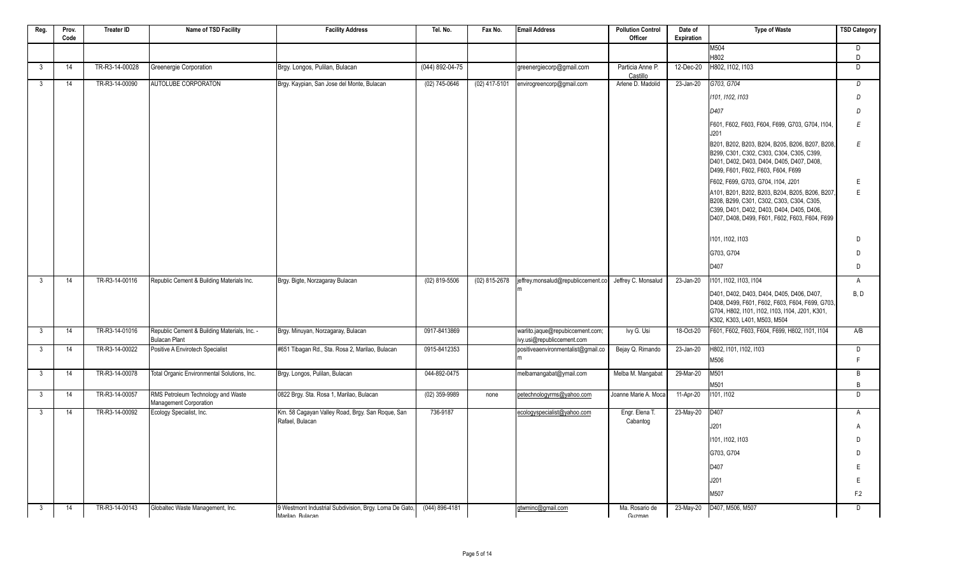| Reg. | Prov. | <b>Treater ID</b> | Name of TSD Facility                                                 | <b>Facility Address</b>                                                   | Tel. No.         | Fax No.       | <b>Email Address</b>                                           | <b>Pollution Control</b>     | Date of    | <b>Type of Waste</b>                                                                                                                                                                       | <b>TSD Category</b> |
|------|-------|-------------------|----------------------------------------------------------------------|---------------------------------------------------------------------------|------------------|---------------|----------------------------------------------------------------|------------------------------|------------|--------------------------------------------------------------------------------------------------------------------------------------------------------------------------------------------|---------------------|
|      | Code  |                   |                                                                      |                                                                           |                  |               |                                                                | Officer                      | Expiration | M504                                                                                                                                                                                       | $\overline{D}$      |
|      |       |                   |                                                                      |                                                                           |                  |               |                                                                |                              |            | H802                                                                                                                                                                                       | D                   |
| 3    | 14    | TR-R3-14-00028    | Greenergie Corporation                                               | Brgy. Longos, Pulilan, Bulacan                                            | (044) 892-04-75  |               | greenergiecorp@gmail.com                                       | Particia Anne P.<br>Castillo | 12-Dec-20  | H802. I102. I103                                                                                                                                                                           | D                   |
| 3    | 14    | TR-R3-14-00090    | AUTOLUBE CORPORATON                                                  | Brgy. Kaypian, San Jose del Monte, Bulacan                                | (02) 745-0646    | (02) 417-5101 | envirogreencorp@gmail.com                                      | Arlene D. Madolid            | 23-Jan-20  | G703, G704                                                                                                                                                                                 | D                   |
|      |       |                   |                                                                      |                                                                           |                  |               |                                                                |                              |            | 1101, 1102, 1103                                                                                                                                                                           | $\overline{D}$      |
|      |       |                   |                                                                      |                                                                           |                  |               |                                                                |                              |            | D407                                                                                                                                                                                       | $\overline{D}$      |
|      |       |                   |                                                                      |                                                                           |                  |               |                                                                |                              |            | F601, F602, F603, F604, F699, G703, G704, I104.<br>J201                                                                                                                                    | E                   |
|      |       |                   |                                                                      |                                                                           |                  |               |                                                                |                              |            | B201, B202, B203, B204, B205, B206, B207, B208,<br>B299, C301, C302, C303, C304, C305, C399,<br>D401, D402, D403, D404, D405, D407, D408,<br>D499, F601, F602, F603, F604, F699            | E                   |
|      |       |                   |                                                                      |                                                                           |                  |               |                                                                |                              |            | F602, F699, G703, G704, I104, J201                                                                                                                                                         | E                   |
|      |       |                   |                                                                      |                                                                           |                  |               |                                                                |                              |            | A101, B201, B202, B203, B204, B205, B206, B207<br>B208, B299, C301, C302, C303, C304, C305,<br>C399, D401, D402, D403, D404, D405, D406,<br>D407, D408, D499, F601, F602, F603, F604, F699 | E                   |
|      |       |                   |                                                                      |                                                                           |                  |               |                                                                |                              |            | 1101, 1102, 1103                                                                                                                                                                           | D                   |
|      |       |                   |                                                                      |                                                                           |                  |               |                                                                |                              |            | G703, G704                                                                                                                                                                                 | D                   |
|      |       |                   |                                                                      |                                                                           |                  |               |                                                                |                              |            | D407                                                                                                                                                                                       | D                   |
| 3    | 14    | TR-R3-14-00116    | Republic Cement & Building Materials Inc.                            | Brgy. Bigte, Norzagaray Bulacan                                           | (02) 819-5506    | (02) 815-2678 | lieffrey.monsalud@republiccement.co                            | Jeffrey C. Monsalud          | 23-Jan-20  | 1101. 1102. 1103. 1104                                                                                                                                                                     | A                   |
|      |       |                   |                                                                      |                                                                           |                  |               |                                                                |                              |            | D401, D402, D403, D404, D405, D406, D407,<br>D408, D499, F601, F602, F603, F604, F699, G703,<br>G704, H802, I101, I102, I103, I104, J201, K301,<br>K302, K303, L401, M503, M504            | B, D                |
| 3    | 14    | TR-R3-14-01016    | Republic Cement & Building Materials, Inc. -<br><b>Bulacan Plant</b> | Brgy. Minuyan, Norzagaray, Bulacan                                        | 0917-8413869     |               | warlito.jaque@repubiccement.com;<br>ivy.usi@republiccement.com | Ivy G. Usi                   | 18-Oct-20  | F601, F602, F603, F604, F699, H802, I101, I104                                                                                                                                             | A/B                 |
| 3    | 14    | TR-R3-14-00022    | Positive A Envirotech Specialist                                     | #651 Tibagan Rd., Sta. Rosa 2, Marilao, Bulacan                           | 0915-8412353     |               | positiveaenvironmentalist@gmail.co                             | Bejay Q. Rimando             | 23-Jan-20  | H802, I101, I102, I103                                                                                                                                                                     | D                   |
|      |       |                   |                                                                      |                                                                           |                  |               |                                                                |                              |            | M506                                                                                                                                                                                       | E                   |
| 3    | 14    | TR-R3-14-00078    | Total Organic Environmental Solutions, Inc.                          | Brgy. Longos, Pulilan, Bulacan                                            | 044-892-0475     |               | melbamangabat@ymail.com                                        | Melba M. Mangabat            | 29-Mar-20  | M501                                                                                                                                                                                       | B                   |
|      |       |                   |                                                                      |                                                                           |                  |               |                                                                |                              |            | M501                                                                                                                                                                                       | $\overline{B}$      |
| 3    | 14    | TR-R3-14-00057    | RMS Petroleum Technology and Waste<br>Management Corporation         | 0822 Brgy. Sta. Rosa 1, Marilao, Bulacan                                  | (02) 359-9989    | none          | petechnologyrms@yahoo.com                                      | Joanne Marie A. Moca         | 11-Apr-20  | 1101, 1102                                                                                                                                                                                 | D                   |
| 3    | 14    | TR-R3-14-00092    | Ecology Specialist, Inc.                                             | Km. 58 Cagayan Valley Road, Brgy. San Rogue, San                          | 736-9187         |               | ecologyspecialist@yahoo.com                                    | Engr. Elena T.               | 23-May-20  | D407                                                                                                                                                                                       | A                   |
|      |       |                   |                                                                      | Rafael, Bulacan                                                           |                  |               |                                                                | Cabantog                     |            | J201                                                                                                                                                                                       | A                   |
|      |       |                   |                                                                      |                                                                           |                  |               |                                                                |                              |            | 1101, 1102, 1103                                                                                                                                                                           | $\Box$              |
|      |       |                   |                                                                      |                                                                           |                  |               |                                                                |                              |            | G703, G704                                                                                                                                                                                 | $\Box$              |
|      |       |                   |                                                                      |                                                                           |                  |               |                                                                |                              |            | D407                                                                                                                                                                                       | E                   |
|      |       |                   |                                                                      |                                                                           |                  |               |                                                                |                              |            | J201                                                                                                                                                                                       | E                   |
|      |       |                   |                                                                      |                                                                           |                  |               |                                                                |                              |            | M507                                                                                                                                                                                       | F.2                 |
| 3    | 14    | TR-R3-14-00143    | Globaltec Waste Management, Inc.                                     | 9 Westmont Industrial Subdivision, Brgy. Loma De Gato,<br>Marilan Rulacan | $(044)$ 896-4181 |               | gtwminc@gmail.com                                              | Ma. Rosario de<br>Guzman     |            |                                                                                                                                                                                            | $\overline{D}$      |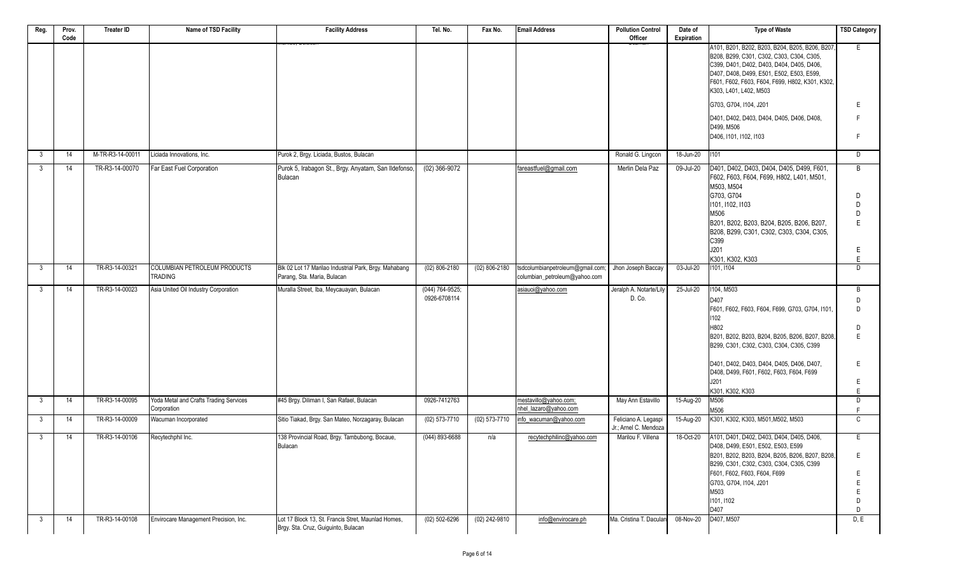| Reg.           | Prov.<br>Code | <b>Treater ID</b> | Name of TSD Facility                   | <b>Facility Address</b>                                                                   | Tel. No.            | Fax No.         | <b>Email Address</b>             | <b>Pollution Control</b><br>Officer           | Date of<br>Expiration | <b>Type of Waste</b>                                                                                                                                                                                                                                                | <b>TSD Category</b> |
|----------------|---------------|-------------------|----------------------------------------|-------------------------------------------------------------------------------------------|---------------------|-----------------|----------------------------------|-----------------------------------------------|-----------------------|---------------------------------------------------------------------------------------------------------------------------------------------------------------------------------------------------------------------------------------------------------------------|---------------------|
|                |               |                   |                                        |                                                                                           |                     |                 |                                  |                                               |                       | A101, B201, B202, B203, B204, B205, B206, B207,<br>B208, B299, C301, C302, C303, C304, C305,<br>C399, D401, D402, D403, D404, D405, D406,<br>D407, D408, D499, E501, E502, E503, E599,<br>F601, F602, F603, F604, F699, H802, K301, K302,<br>K303, L401, L402, M503 | E                   |
|                |               |                   |                                        |                                                                                           |                     |                 |                                  |                                               |                       | G703, G704, I104, J201                                                                                                                                                                                                                                              | Ε                   |
|                |               |                   |                                        |                                                                                           |                     |                 |                                  |                                               |                       | D401, D402, D403, D404, D405, D406, D408,<br>D499, M506                                                                                                                                                                                                             | F                   |
|                |               |                   |                                        |                                                                                           |                     |                 |                                  |                                               |                       | D406, I101, I102, I103                                                                                                                                                                                                                                              | F                   |
| -3             | 14            | M-TR-R3-14-00011  | Liciada Innovations, Inc.              | Purok 2, Brgy. Liciada, Bustos, Bulacan                                                   |                     |                 |                                  | Ronald G. Lingcon                             | 18-Jun-20             | 1101                                                                                                                                                                                                                                                                | D                   |
| $\mathbf{3}$   | 14            | TR-R3-14-00070    | Far East Fuel Corporation              | Purok 5, Irabagon St., Brgy. Anyatam, San Ildefonso,<br>Bulacan                           | $(02)$ 366-9072     |                 | fareastfuel@gmail.com            | Merlin Dela Paz                               | 09-Jul-20             | D401, D402, D403, D404, D405, D499, F601,<br>F602, F603, F604, F699, H802, L401, M501,<br>M503, M504                                                                                                                                                                | B                   |
|                |               |                   |                                        |                                                                                           |                     |                 |                                  |                                               |                       | G703, G704<br>1101, 1102, 1103                                                                                                                                                                                                                                      | D<br>D              |
|                |               |                   |                                        |                                                                                           |                     |                 |                                  |                                               |                       | M506                                                                                                                                                                                                                                                                | D                   |
|                |               |                   |                                        |                                                                                           |                     |                 |                                  |                                               |                       | B201, B202, B203, B204, B205, B206, B207,<br>B208, B299, C301, C302, C303, C304, C305,<br>C399                                                                                                                                                                      | E                   |
|                |               |                   |                                        |                                                                                           |                     |                 |                                  |                                               |                       | J201                                                                                                                                                                                                                                                                | E.                  |
| $\mathbf{3}$   | 14            | TR-R3-14-00321    | COLUMBIAN PETROLEUM PRODUCTS           | Blk 02 Lot 17 Marilao Industrial Park, Brgy. Mahabang                                     | $(02)$ 806-2180     | $(02)$ 806-2180 | tsdcolumbianpetroleum@gmail.com; | Jhon Joseph Baccay                            | 03-Jul-20             | K301. K302. K303<br>101, 1104                                                                                                                                                                                                                                       | E.<br>D             |
|                |               |                   | <b>TRADING</b>                         | Parang, Sta. Maria, Bulacan                                                               |                     |                 | columbian_petroleum@yahoo.com    |                                               |                       |                                                                                                                                                                                                                                                                     |                     |
| - 3            | 14            | TR-R3-14-00023    | Asia United Oil Industry Corporation   | Muralla Street, Iba, Meycauayan, Bulacan                                                  | $(044) 764 - 9525;$ |                 | asiauoi@yahoo.com                | Jeralph A. Notarte/Lily                       | 25-Jul-20             | 104, M503                                                                                                                                                                                                                                                           | B                   |
|                |               |                   |                                        |                                                                                           | 0926-6708114        |                 |                                  | D. Co.                                        |                       | D407                                                                                                                                                                                                                                                                | D                   |
|                |               |                   |                                        |                                                                                           |                     |                 |                                  |                                               |                       | F601, F602, F603, F604, F699, G703, G704, I101<br>102                                                                                                                                                                                                               | D                   |
|                |               |                   |                                        |                                                                                           |                     |                 |                                  |                                               |                       | H802                                                                                                                                                                                                                                                                | D                   |
|                |               |                   |                                        |                                                                                           |                     |                 |                                  |                                               |                       | B201, B202, B203, B204, B205, B206, B207, B208,<br>B299, C301, C302, C303, C304, C305, C399                                                                                                                                                                         | E                   |
|                |               |                   |                                        |                                                                                           |                     |                 |                                  |                                               |                       | D401, D402, D403, D404, D405, D406, D407,<br>D408, D499, F601, F602, F603, F604, F699                                                                                                                                                                               | Ε                   |
|                |               |                   |                                        |                                                                                           |                     |                 |                                  |                                               |                       | J201<br>K301, K302, K303                                                                                                                                                                                                                                            | E<br>E              |
| $\mathbf{3}$   | 14            | TR-R3-14-00095    | Yoda Metal and Crafts Trading Services | #45 Brgy. Diliman I, San Rafael, Bulacan                                                  | 0926-7412763        |                 | mestavillo@yahoo.com;            | May Ann Estavillo                             | 15-Aug-20             | M506                                                                                                                                                                                                                                                                | D                   |
|                |               |                   | Corporation                            |                                                                                           |                     |                 | nhel_lazaro@yahoo.com            |                                               |                       | M506                                                                                                                                                                                                                                                                | F                   |
| $\mathbf{3}$   | 14            | TR-R3-14-00009    | Wacuman Incorporated                   | Sitio Tiakad, Brgy. San Mateo, Norzagaray, Bulacan                                        | $(02)$ 573-7710     | (02) 573-7710   | info_wacuman@yahoo.com           | Feliciano A. Legaspi<br>Jr.; Arnel C. Mendoza | 15-Aug-20             | K301, K302, K303, M501, M502, M503                                                                                                                                                                                                                                  | $\mathsf{C}$        |
| $\mathbf{3}$   | 14            | TR-R3-14-00106    | Recytechphil Inc.                      | 138 Provincial Road, Brgy. Tambubong, Bocaue,<br>Bulacan                                  | (044) 893-6688      | n/a             | recytechphilinc@yahoo.com        | Marilou F. Villena                            | 18-Oct-20             | A101, D401, D402, D403, D404, D405, D406,<br>D408, D499, E501, E502, E503, E599                                                                                                                                                                                     | E                   |
|                |               |                   |                                        |                                                                                           |                     |                 |                                  |                                               |                       | B201, B202, B203, B204, B205, B206, B207, B208,<br>B299, C301, C302, C303, C304, C305, C399                                                                                                                                                                         | E                   |
|                |               |                   |                                        |                                                                                           |                     |                 |                                  |                                               |                       | F601, F602, F603, F604, F699<br>G703, G704, I104, J201                                                                                                                                                                                                              | Ε<br>E              |
|                |               |                   |                                        |                                                                                           |                     |                 |                                  |                                               |                       | M503                                                                                                                                                                                                                                                                | E                   |
|                |               |                   |                                        |                                                                                           |                     |                 |                                  |                                               |                       | 1101, 1102                                                                                                                                                                                                                                                          | D                   |
|                |               |                   |                                        |                                                                                           |                     |                 |                                  |                                               |                       | D407                                                                                                                                                                                                                                                                | D                   |
| $\overline{3}$ | 14            | TR-R3-14-00108    | Envirocare Management Precision, Inc.  | Lot 17 Block 13, St. Francis Stret, Maunlad Homes,<br>Brgy. Sta. Cruz, Guiguinto, Bulacan | (02) 502-6296       | $(02)$ 242-9810 | info@envirocare.ph               | Ma. Cristina T. Daculan                       | 08-Nov-20             | D407, M507                                                                                                                                                                                                                                                          | D, E                |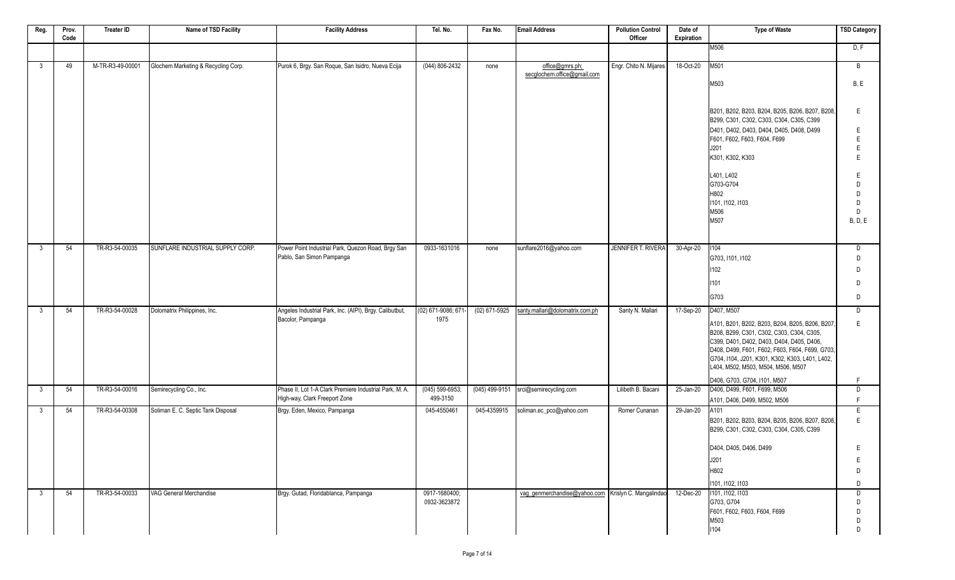| Reg. | Prov. | <b>Treater ID</b> | Name of TSD Facility                | <b>Facility Address</b>                                                         | Tel. No.                   | Fax No.        | <b>Email Address</b>                                  | <b>Pollution Control</b>  | Date of    | <b>Type of Waste</b>                                                                        | <b>TSD Category</b> |
|------|-------|-------------------|-------------------------------------|---------------------------------------------------------------------------------|----------------------------|----------------|-------------------------------------------------------|---------------------------|------------|---------------------------------------------------------------------------------------------|---------------------|
|      | Code  |                   |                                     |                                                                                 |                            |                |                                                       | Officer                   | Expiration |                                                                                             |                     |
|      |       |                   |                                     |                                                                                 |                            |                |                                                       |                           |            | M506                                                                                        | D, F                |
| 3    | 49    | M-TR-R3-49-00001  | Glochem Marketing & Recycling Corp. | Purok 6, Brgy. San Roque, San Isidro, Nueva Ecija                               | $(044) 806 - 2432$         | none           | office@gmrs.ph;<br>secglochem.office@gmail.com        | Engr. Chito N. Mijares    | 18-Oct-20  | M501                                                                                        | B                   |
|      |       |                   |                                     |                                                                                 |                            |                |                                                       |                           |            | M503                                                                                        | B, E                |
|      |       |                   |                                     |                                                                                 |                            |                |                                                       |                           |            |                                                                                             |                     |
|      |       |                   |                                     |                                                                                 |                            |                |                                                       |                           |            | B201, B202, B203, B204, B205, B206, B207, B208,<br>B299, C301, C302, C303, C304, C305, C399 | E                   |
|      |       |                   |                                     |                                                                                 |                            |                |                                                       |                           |            | D401, D402, D403, D404, D405, D408, D499                                                    | Е                   |
|      |       |                   |                                     |                                                                                 |                            |                |                                                       |                           |            | F601, F602, F603, F604, F699                                                                | E                   |
|      |       |                   |                                     |                                                                                 |                            |                |                                                       |                           |            | J201                                                                                        | E                   |
|      |       |                   |                                     |                                                                                 |                            |                |                                                       |                           |            | K301, K302, K303                                                                            | E                   |
|      |       |                   |                                     |                                                                                 |                            |                |                                                       |                           |            | L401, L402                                                                                  | E                   |
|      |       |                   |                                     |                                                                                 |                            |                |                                                       |                           |            | G703-G704                                                                                   | D                   |
|      |       |                   |                                     |                                                                                 |                            |                |                                                       |                           |            | H802                                                                                        | D                   |
|      |       |                   |                                     |                                                                                 |                            |                |                                                       |                           |            | 1101, 1102, 1103                                                                            | D                   |
|      |       |                   |                                     |                                                                                 |                            |                |                                                       |                           |            | M506                                                                                        | D                   |
|      |       |                   |                                     |                                                                                 |                            |                |                                                       |                           |            | M507                                                                                        | <b>B, D, E</b>      |
|      |       |                   |                                     |                                                                                 |                            |                |                                                       |                           |            |                                                                                             |                     |
|      |       |                   | SUNFLARE INDUSTRIAL SUPPLY CORP.    |                                                                                 |                            |                |                                                       |                           |            |                                                                                             |                     |
| 3    | 54    | TR-R3-54-00035    |                                     | Power Point Industrial Park, Quezon Road, Brgy San<br>Pablo, San Simon Pampanga | 0933-1631016               | none           | sunflare2016@yahoo.com                                | <b>JENNIFER T. RIVERA</b> | 30-Apr-20  | 1104<br>G703, I101, I102                                                                    | D<br>D              |
|      |       |                   |                                     |                                                                                 |                            |                |                                                       |                           |            |                                                                                             |                     |
|      |       |                   |                                     |                                                                                 |                            |                |                                                       |                           |            | 1102                                                                                        | D                   |
|      |       |                   |                                     |                                                                                 |                            |                |                                                       |                           |            | 1101                                                                                        | D                   |
|      |       |                   |                                     |                                                                                 |                            |                |                                                       |                           |            | G703                                                                                        | D                   |
| 3    | 54    | TR-R3-54-00028    | Dolomatrix Philippines, Inc.        | Angeles Industrial Park, Inc. (AIPI), Brgy. Calibutbut,<br>Bacolor, Pampanga    | (02) 671-9086; 671<br>1975 | (02) 671-5925  | santy.mallari@dolomatrix.com.ph                       | Santy N. Mallari          | 17-Sep-20  | D407, M507                                                                                  | D                   |
|      |       |                   |                                     |                                                                                 |                            |                |                                                       |                           |            | A101, B201, B202, B203, B204, B205, B206, B207,                                             | E                   |
|      |       |                   |                                     |                                                                                 |                            |                |                                                       |                           |            | B208, B299, C301, C302, C303, C304, C305,                                                   |                     |
|      |       |                   |                                     |                                                                                 |                            |                |                                                       |                           |            | C399, D401, D402, D403, D404, D405, D406,                                                   |                     |
|      |       |                   |                                     |                                                                                 |                            |                |                                                       |                           |            | D408, D499, F601, F602, F603, F604, F699, G703,                                             |                     |
|      |       |                   |                                     |                                                                                 |                            |                |                                                       |                           |            | G704, I104, J201, K301, K302, K303, L401, L402,<br>L404, M502, M503, M504, M506, M507       |                     |
|      |       |                   |                                     |                                                                                 |                            |                |                                                       |                           |            | D406, G703, G704, I101, M507                                                                | F.                  |
| 3    | 54    | TR-R3-54-00016    | Semirecycling Co., Inc.             | Phase II, Lot 1-A Clark Premiere Industrial Park, M. A.                         | $(045) 599-6953;$          | (045) 499-9151 | srci@semirecycling.com                                | Lilibeth B. Bacani        | 25-Jan-20  | D406, D499, F601, F699, M506                                                                | D                   |
|      |       |                   |                                     | High-way, Clark Freeport Zone                                                   | 499-3150                   |                |                                                       |                           |            | A101, D406, D499, M502, M506                                                                | F                   |
| 3    | 54    | TR-R3-54-00308    | Soliman E. C. Septic Tank Disposal  | Brgy. Eden, Mexico, Pampanga                                                    | 045-4550461                | 045-4359915    | soliman.ec_pco@yahoo.com                              | Romer Cunanan             | 29-Jan-20  | A101                                                                                        | E                   |
|      |       |                   |                                     |                                                                                 |                            |                |                                                       |                           |            | B201, B202, B203, B204, B205, B206, B207, B208,<br>B299, C301, C302, C303, C304, C305, C399 | E                   |
|      |       |                   |                                     |                                                                                 |                            |                |                                                       |                           |            | D404, D405, D406, D499                                                                      | E                   |
|      |       |                   |                                     |                                                                                 |                            |                |                                                       |                           |            | J201                                                                                        | Ε                   |
|      |       |                   |                                     |                                                                                 |                            |                |                                                       |                           |            | H802                                                                                        | D                   |
|      |       |                   |                                     |                                                                                 |                            |                |                                                       |                           |            | 1101, 1102, 1103                                                                            | D                   |
| 3    | 54    | TR-R3-54-00033    | VAG General Merchandise             | Brgy. Gutad, Floridablanca, Pampanga                                            | 0917-1680400;              |                | vag_genmerchandise@yahoo.com   Krislyn C. Mangalindao |                           | 12-Dec-20  | 1101, 1102, 1103                                                                            | D                   |
|      |       |                   |                                     |                                                                                 | 0932-3623872               |                |                                                       |                           |            | G703, G704                                                                                  | D                   |
|      |       |                   |                                     |                                                                                 |                            |                |                                                       |                           |            | F601, F602, F603, F604, F699                                                                | D                   |
|      |       |                   |                                     |                                                                                 |                            |                |                                                       |                           |            | M503                                                                                        | D                   |
|      |       |                   |                                     |                                                                                 |                            |                |                                                       |                           |            | 1104                                                                                        | D                   |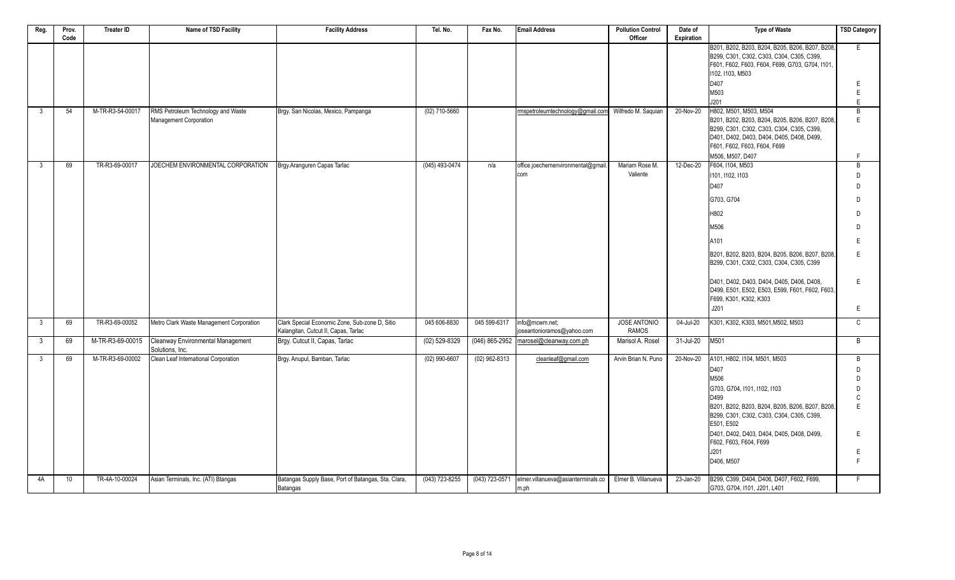| Reg.         | Prov. | <b>Treater ID</b> | Name of TSD Facility                     | <b>Facility Address</b>                                                                | Tel. No.         | Fax No.         | <b>Email Address</b>                                | <b>Pollution Control</b>     | Date of    | <b>Type of Waste</b>                                                                                                                                               | <b>TSD Category</b> |
|--------------|-------|-------------------|------------------------------------------|----------------------------------------------------------------------------------------|------------------|-----------------|-----------------------------------------------------|------------------------------|------------|--------------------------------------------------------------------------------------------------------------------------------------------------------------------|---------------------|
|              | Code  |                   |                                          |                                                                                        |                  |                 |                                                     | Officer                      | Expiration |                                                                                                                                                                    |                     |
|              |       |                   |                                          |                                                                                        |                  |                 |                                                     |                              |            | B201, B202, B203, B204, B205, B206, B207, B208,<br>B299, C301, C302, C303, C304, C305, C399,<br>F601, F602, F603, F604, F699, G703, G704, I101<br>1102, 1103, M503 | E                   |
|              |       |                   |                                          |                                                                                        |                  |                 |                                                     |                              |            | D407                                                                                                                                                               | E                   |
|              |       |                   |                                          |                                                                                        |                  |                 |                                                     |                              |            | M503                                                                                                                                                               | E                   |
|              |       |                   |                                          |                                                                                        |                  |                 |                                                     |                              |            | J201                                                                                                                                                               | E                   |
| 3            | 54    | M-TR-R3-54-00017  | RMS Petroleum Technology and Waste       | Brgy. San Nicolas, Mexico, Pampanga                                                    | (02) 710-5660    |                 | mspetroleumtechnology@gmail.com Wilfredo M. Saguian |                              | 20-Nov-20  | H802, M501, M503, M504                                                                                                                                             | B                   |
|              |       |                   | Management Corporation                   |                                                                                        |                  |                 |                                                     |                              |            | B201, B202, B203, B204, B205, B206, B207, B208,                                                                                                                    | F                   |
|              |       |                   |                                          |                                                                                        |                  |                 |                                                     |                              |            | B299, C301, C302, C303, C304, C305, C399,                                                                                                                          |                     |
|              |       |                   |                                          |                                                                                        |                  |                 |                                                     |                              |            | D401, D402, D403, D404, D405, D408, D499,                                                                                                                          |                     |
|              |       |                   |                                          |                                                                                        |                  |                 |                                                     |                              |            | F601, F602, F603, F604, F699                                                                                                                                       |                     |
| 3            | 69    | TR-R3-69-00017    | JOECHEM ENVIRONMENTAL CORPORATION        | Brgy Aranguren Capas Tarlac                                                            | $(045)$ 493-0474 | n/a             | office.joechemenvironmental@gmail                   | Mariam Rose M.               | 12-Dec-20  | M506, M507, D407<br>F604, I104, M503                                                                                                                               | F.<br>B             |
|              |       |                   |                                          |                                                                                        |                  |                 | Icom                                                | Valiente                     |            | 1101, 1102, 1103                                                                                                                                                   | D                   |
|              |       |                   |                                          |                                                                                        |                  |                 |                                                     |                              |            | D407                                                                                                                                                               | D                   |
|              |       |                   |                                          |                                                                                        |                  |                 |                                                     |                              |            |                                                                                                                                                                    |                     |
|              |       |                   |                                          |                                                                                        |                  |                 |                                                     |                              |            | G703, G704                                                                                                                                                         | D                   |
|              |       |                   |                                          |                                                                                        |                  |                 |                                                     |                              |            | H802                                                                                                                                                               | D.                  |
|              |       |                   |                                          |                                                                                        |                  |                 |                                                     |                              |            | M506                                                                                                                                                               | D                   |
|              |       |                   |                                          |                                                                                        |                  |                 |                                                     |                              |            | A101                                                                                                                                                               |                     |
|              |       |                   |                                          |                                                                                        |                  |                 |                                                     |                              |            | B201, B202, B203, B204, B205, B206, B207, B208,<br>B299, C301, C302, C303, C304, C305, C399                                                                        | F                   |
|              |       |                   |                                          |                                                                                        |                  |                 |                                                     |                              |            | D401, D402, D403, D404, D405, D406, D408,<br>D499, E501, E502, E503, E599, F601, F602, F603,<br>F699, K301, K302, K303                                             | E                   |
|              |       |                   |                                          |                                                                                        |                  |                 |                                                     |                              |            | J201                                                                                                                                                               | E                   |
| $\mathbf{3}$ | 69    | TR-R3-69-00052    | Metro Clark Waste Management Corporation | Clark Special Economic Zone, Sub-zone D, Sitio<br>Kalangitan, Cutcut II, Capas, Tarlac | 045 606-8830     | 045 599-6317    | info@mcwm.net;<br>joseantonioramos@yahoo.com        | JOSE ANTONIO<br><b>RAMOS</b> | 04-Jul-20  | K301, K302, K303, M501, M502, M503                                                                                                                                 | $\mathsf{C}$        |
| $\mathbf{3}$ | 69    | M-TR-R3-69-00015  | Cleanway Environmental Management        | Brgy. Cutcut II, Capas, Tarlac                                                         | $(02)$ 529-8329  |                 | (046) 865-2952 marosel@cleanway.com.ph              | Marisol A. Rosel             | 31-Jul-20  | M501                                                                                                                                                               | B                   |
|              |       |                   | Solutions. Inc.                          |                                                                                        |                  |                 |                                                     |                              |            |                                                                                                                                                                    |                     |
| $\mathbf{3}$ | 69    | M-TR-R3-69-00002  | Clean Leaf International Corporation     | Brgy. Anupul, Bamban, Tarlac                                                           | $(02)$ 990-6607  | $(02)$ 962-8313 | cleanleaf@gmail.com                                 | Arvin Brian N. Puno          | 20-Nov-20  | A101, H802, I104, M501, M503<br>D407                                                                                                                               | B <sub>1</sub>      |
|              |       |                   |                                          |                                                                                        |                  |                 |                                                     |                              |            | M506                                                                                                                                                               | D<br>D              |
|              |       |                   |                                          |                                                                                        |                  |                 |                                                     |                              |            | G703, G704, I101, I102, I103                                                                                                                                       | D                   |
|              |       |                   |                                          |                                                                                        |                  |                 |                                                     |                              |            | D499                                                                                                                                                               | $\mathsf{C}$        |
|              |       |                   |                                          |                                                                                        |                  |                 |                                                     |                              |            | B201, B202, B203, B204, B205, B206, B207, B208,                                                                                                                    | F                   |
|              |       |                   |                                          |                                                                                        |                  |                 |                                                     |                              |            | B299, C301, C302, C303, C304, C305, C399,<br>E501, E502                                                                                                            |                     |
|              |       |                   |                                          |                                                                                        |                  |                 |                                                     |                              |            | D401, D402, D403, D404, D405, D408, D499,<br>F602, F603, F604, F699                                                                                                | E                   |
|              |       |                   |                                          |                                                                                        |                  |                 |                                                     |                              |            | J201                                                                                                                                                               | Ε                   |
|              |       |                   |                                          |                                                                                        |                  |                 |                                                     |                              |            | D406, M507                                                                                                                                                         | F                   |
| 4A           | 10    | TR-4A-10-00024    | Asian Terminals, Inc. (ATI) Btangas      | Batangas Supply Base, Port of Batangas, Sta. Clara,<br>Batangas                        | (043) 723-8255   | (043) 723-0571  | elmer.villanueva@asianterminals.co<br>m.ph          | Elmer B. Villanueva          | 23-Jan-20  | B299, C399, D404, D406, D407, F602, F699,<br>G703, G704, I101, J201, L401                                                                                          | F                   |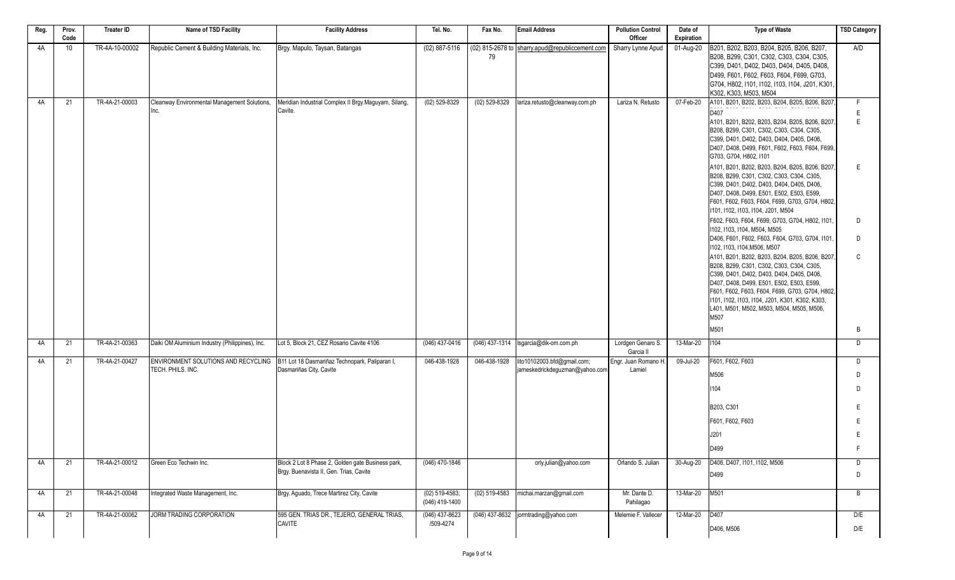| Reg. | Prov.<br>Code | <b>Treater ID</b> | Name of TSD Facility                                     | <b>Facility Address</b>                                                                      | Tel. No.                           | Fax No.           | Email Address                                                 | <b>Pollution Control</b><br>Officer | Date of<br>Expiration | <b>Type of Waste</b>                                                                                                                                                                                                                                                                                                                                                              | <b>TSD Category</b> |
|------|---------------|-------------------|----------------------------------------------------------|----------------------------------------------------------------------------------------------|------------------------------------|-------------------|---------------------------------------------------------------|-------------------------------------|-----------------------|-----------------------------------------------------------------------------------------------------------------------------------------------------------------------------------------------------------------------------------------------------------------------------------------------------------------------------------------------------------------------------------|---------------------|
| 4A   | 10            | TR-4A-10-00002    | Republic Cement & Building Materials, Inc.               | Brgy. Mapulo, Taysan, Batangas                                                               | $(02)$ 887-5116                    | 79                | (02) 815-2678 to sharry.apud@republiccement.com               | Sharry Lynne Apud                   | 01-Aug-20             | B201, B202, B203, B204, B205, B206, B207,<br>B208, B299, C301, C302, C303, C304, C305,<br>C399, D401, D402, D403, D404, D405, D408,<br>D499. F601. F602. F603. F604. F699. G703.<br>G704, H802, I101, I102, I103, I104, J201, K301<br>K302, K303, M503, M504                                                                                                                      | A/D                 |
| 4A   | 21            | TR-4A-21-00003    | Cleanway Environmental Management Solutions,<br>Inc.     | Meridian Industrial Complex II Brgy.Maguyam, Silang,<br>Cavite.                              | $(02)$ 529-8329                    | $(02)$ 529-8329   | lariza.retusto@cleanway.com.ph                                | Lariza N. Retusto                   | 07-Feb-20             | A101, B201, B202, B203, B204, B205, B206, B207<br>D407<br>A101, B201, B202, B203, B204, B205, B206, B207<br>B208, B299, C301, C302, C303, C304, C305,<br>C399, D401, D402, D403, D404, D405, D406,<br>D407, D408, D499, F601, F602, F603, F604, F699,<br>G703, G704, H802, I101<br>A101, B201, B202, B203, B204, B205, B206, B207,<br>B208, B299, C301, C302, C303, C304, C305,   | F.<br>Ε<br>E<br>E   |
|      |               |                   |                                                          |                                                                                              |                                    |                   |                                                               |                                     |                       | C399, D401, D402, D403, D404, D405, D406,<br>D407, D408, D499, E501, E502, E503, E599,<br>F601, F602, F603, F604, F699, G703, G704, H802,<br>1101, 1102, 1103, 1104, J201, M504<br>F602, F603, F604, F699, G703, G704, H802, I101,<br>1102, 1103, 1104, M504, M505<br>D406, F601, F602, F603, F604, G703, G704, I101,                                                             | D<br>D.             |
|      |               |                   |                                                          |                                                                                              |                                    |                   |                                                               |                                     |                       | 1102, 1103, 1104, M506, M507<br>A101, B201, B202, B203, B204, B205, B206, B207,<br>B208, B299, C301, C302, C303, C304, C305,<br>C399, D401, D402, D403, D404, D405, D406,<br>D407, D408, D499, E501, E502, E503, E599,<br>F601, F602, F603, F604, F699, G703, G704, H802,<br>1101, 1102, 1103, 1104, J201, K301, K302, K303,<br>L401, M501, M502, M503, M504, M505, M506,<br>M507 | C                   |
| 4A   | 21            | TR-4A-21-00363    | Daiki OM Aluminium Industry (Philippines), Inc.          | Lot 5, Block 21, CEZ Rosario Cavite 4106                                                     | (046) 437-0416                     |                   | $(046)$ 437-1314   Isgarcia@dik-om.com.ph                     | Lordgen Genaro S.                   | 13-Mar-20             | M501<br>1104                                                                                                                                                                                                                                                                                                                                                                      | B<br>D              |
|      |               |                   |                                                          |                                                                                              |                                    |                   |                                                               | Garcia II                           |                       |                                                                                                                                                                                                                                                                                                                                                                                   |                     |
| 4A   | 21            | TR-4A-21-00427    | ENVIRONMENT SOLUTIONS AND RECYCLING<br>TECH. PHILS. INC. | B11 Lot 18 Dasmariñaz Technopark, Paliparan I,<br>Dasmariñas City, Cavite                    | 046-438-1928                       | 046-438-1928      | lito10102003.bfd@gmail.com;<br>jameskedrickdeguzman@yahoo.com | Engr. Juan Romano H.<br>Lamiel      | 09-Jul-20             | F601, F602, F603<br>M506<br>1104                                                                                                                                                                                                                                                                                                                                                  | D<br>D<br>D         |
|      |               |                   |                                                          |                                                                                              |                                    |                   |                                                               |                                     |                       | B203, C301                                                                                                                                                                                                                                                                                                                                                                        | F                   |
|      |               |                   |                                                          |                                                                                              |                                    |                   |                                                               |                                     |                       | F601, F602, F603                                                                                                                                                                                                                                                                                                                                                                  | E                   |
|      |               |                   |                                                          |                                                                                              |                                    |                   |                                                               |                                     |                       | J201                                                                                                                                                                                                                                                                                                                                                                              |                     |
|      |               |                   |                                                          |                                                                                              |                                    |                   |                                                               |                                     |                       | D499                                                                                                                                                                                                                                                                                                                                                                              |                     |
| 4A   | 21            | TR-4A-21-00012    | Green Eco Techwin Inc.                                   | Block 2 Lot 8 Phase 2, Golden gate Business park,<br>Brgy. Buenavista II, Gen. Trias, Cavite | $(046)$ 470-1846                   |                   | orly.julian@yahoo.com                                         | Orlando S. Julian                   | 30-Aug-20             | D406, D407, I101, I102, M506<br>D499                                                                                                                                                                                                                                                                                                                                              | D<br>D              |
| 4A   | 21            | TR-4A-21-00048    | Integrated Waste Management, Inc.                        | Brgy. Aguado, Trece Martirez City, Cavite                                                    | $(02)$ 519-4583;<br>(046) 419-1400 | $(02) 519 - 4583$ | michai.marzan@gmail.com                                       | Mr. Dante D.<br>Pahilagao           | 13-Mar-20             | M501                                                                                                                                                                                                                                                                                                                                                                              | B                   |
| 4A   | 21            | TR-4A-21-00062    | JORM TRADING CORPORATION                                 | 595 GEN. TRIAS DR., TEJERO, GENERAL TRIAS,                                                   | $(046)$ 437-8623                   |                   | (046) 437-8632 jormtrading@yahoo.com                          | Melemie F. Vallecer                 | 12-Mar-20             | D407                                                                                                                                                                                                                                                                                                                                                                              | D/E                 |
|      |               |                   |                                                          | CAVITE                                                                                       | /509-4274                          |                   |                                                               |                                     |                       | D406, M506                                                                                                                                                                                                                                                                                                                                                                        | D/E                 |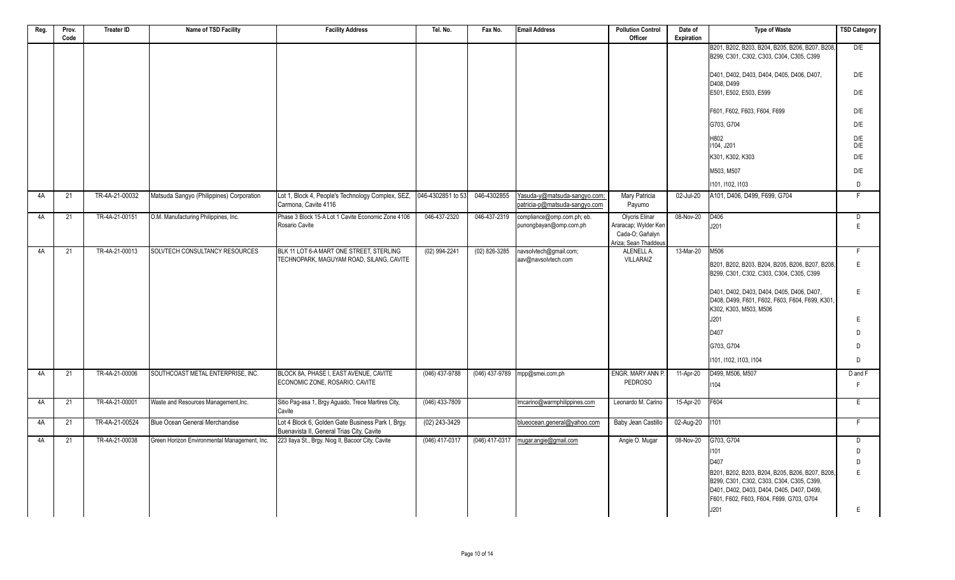| Reg. | Prov.<br>Code   | <b>Treater ID</b> | Name of TSD Facility                         | <b>Facility Address</b>                                                                        | Tel. No.         | Fax No.          | <b>Email Address</b>                                          | <b>Pollution Control</b><br>Officer                              | Date of<br><b>Expiration</b> | <b>Type of Waste</b>                                                                                                               | <b>TSD Category</b> |
|------|-----------------|-------------------|----------------------------------------------|------------------------------------------------------------------------------------------------|------------------|------------------|---------------------------------------------------------------|------------------------------------------------------------------|------------------------------|------------------------------------------------------------------------------------------------------------------------------------|---------------------|
|      |                 |                   |                                              |                                                                                                |                  |                  |                                                               |                                                                  |                              | B201, B202, B203, B204, B205, B206, B207, B208,<br>B299, C301, C302, C303, C304, C305, C399                                        | D/E                 |
|      |                 |                   |                                              |                                                                                                |                  |                  |                                                               |                                                                  |                              | D401, D402, D403, D404, D405, D406, D407,<br>D408, D499                                                                            | D/E                 |
|      |                 |                   |                                              |                                                                                                |                  |                  |                                                               |                                                                  |                              | E501, E502, E503, E599                                                                                                             | D/E                 |
|      |                 |                   |                                              |                                                                                                |                  |                  |                                                               |                                                                  |                              | F601, F602, F603, F604, F699                                                                                                       | D/E                 |
|      |                 |                   |                                              |                                                                                                |                  |                  |                                                               |                                                                  |                              | G703, G704                                                                                                                         | D/E                 |
|      |                 |                   |                                              |                                                                                                |                  |                  |                                                               |                                                                  |                              | H802<br>1104. J201                                                                                                                 | $D/E$<br>D/E        |
|      |                 |                   |                                              |                                                                                                |                  |                  |                                                               |                                                                  |                              | K301, K302, K303                                                                                                                   | D/E                 |
|      |                 |                   |                                              |                                                                                                |                  |                  |                                                               |                                                                  |                              | M503, M507                                                                                                                         | D/E                 |
|      |                 |                   |                                              |                                                                                                |                  |                  |                                                               |                                                                  |                              | 1101, 1102, 1103                                                                                                                   | D                   |
| 4A   | 21              | TR-4A-21-00032    | Matsuda Sangyo (Philippines) Corporation     | Lot 1, Block 4, People's Technology Complex, SEZ, 046-4302851 to 53<br>Carmona, Cavite 4116    |                  | 046-4302855      | Yasuda-y@matsuda-sangyo.com;<br>patricia-p@matsuda-sangyo.com | Mary Patricia<br>Payumo                                          | 02-Jul-20                    | A101, D406, D499, F699, G704                                                                                                       | F                   |
| 4A   | 21              | TR-4A-21-00151    | O.M. Manufacturing Philippines, Inc.         | Phase 3 Block 15-A Lot 1 Cavite Economic Zone 4106<br>Rosario Cavite                           | 046-437-2320     | 046-437-2319     | compliance@omp.com.ph; eb.<br>punongbayan@omp.com.ph          | <b>Olycris Elinar</b><br>Araracap; Wylder Ken<br>Cada-O; Gañalyn | 08-Nov-20                    | D <sub>406</sub><br>J201                                                                                                           | D<br>E              |
|      |                 |                   |                                              |                                                                                                |                  |                  |                                                               | Ariza; Sean Thaddeus                                             |                              |                                                                                                                                    |                     |
| 4A   | 21              | TR-4A-21-00013    | SOLVTECH CONSULTANCY RESOURCES               | BLK 11 LOT 6-A MART ONE STREET, STERLING<br>TECHNOPARK, MAGUYAM ROAD, SILANG, CAVITE           | $(02)$ 994-2241  | $(02)$ 826-3285  | navsolvtech@gmail.com;<br>aav@navsolvtech.com                 | ALENELL A.<br>VILLARAIZ                                          | 13-Mar-20                    | M506                                                                                                                               | $\overline{F}$      |
|      |                 |                   |                                              |                                                                                                |                  |                  |                                                               |                                                                  |                              | B201, B202, B203, B204, B205, B206, B207, B208,<br>B299, C301, C302, C303, C304, C305, C399                                        | $\mathsf E$         |
|      |                 |                   |                                              |                                                                                                |                  |                  |                                                               |                                                                  |                              | D401, D402, D403, D404, D405, D406, D407,<br>D408, D499, F601, F602, F603, F604, F699, K301<br>K302, K303, M503, M506              | E                   |
|      |                 |                   |                                              |                                                                                                |                  |                  |                                                               |                                                                  |                              | J201                                                                                                                               | E                   |
|      |                 |                   |                                              |                                                                                                |                  |                  |                                                               |                                                                  |                              | D407                                                                                                                               | D                   |
|      |                 |                   |                                              |                                                                                                |                  |                  |                                                               |                                                                  |                              | G703, G704                                                                                                                         | D                   |
|      |                 |                   |                                              |                                                                                                |                  |                  |                                                               |                                                                  |                              | 1101.1102.1103.1104                                                                                                                | D                   |
| 4A   | $\overline{21}$ | TR-4A-21-00006    | SOUTHCOAST METAL ENTERPRISE, INC.            | BLOCK 8A, PHASE I, EAST AVENUE, CAVITE<br>ECONOMIC ZONE, ROSARIO, CAVITE                       | $(046)$ 437-9788 |                  | (046) 437-9789 mpp@smei.com.ph                                | ENGR. MARY ANN P.<br><b>PEDROSO</b>                              | 11-Apr-20                    | D499, M506, M507<br>1104                                                                                                           | D and F<br>F        |
|      |                 |                   |                                              |                                                                                                |                  |                  |                                                               |                                                                  |                              |                                                                                                                                    |                     |
| 4A   | 21              | TR-4A-21-00001    | Waste and Resources Management, Inc.         | Sitio Pag-asa 1, Brgy Aguado, Trece Martires City,<br>Cavite                                   | $(046)$ 433-7809 |                  | Imcarino@warmphilippines.com                                  | Leonardo M. Carino                                               | 15-Apr-20                    | F604                                                                                                                               | E                   |
| 4A   | 21              | TR-4A-21-00524    | Blue Ocean General Merchandise               | Lot 4 Block 6, Golden Gate Business Park I, Brgy.<br>Buenavista II, General Trias City, Cavite | $(02)$ 243-3429  |                  | blueocean.general@yahoo.com                                   | Baby Jean Castillo                                               | 02-Aug-20                    | 1101                                                                                                                               | $\overline{F}$      |
| 4A   | 21              | TR-4A-21-00038    | Green Horizon Environmental Management, Inc. | 223 Ilaya St., Brgy. Niog II, Bacoor City, Cavite                                              | (046) 417-0317   | $(046)$ 417-0317 | mugar.angie@gmail.com                                         | Angie O. Mugar                                                   | 08-Nov-20                    | G703, G704                                                                                                                         | $\overline{D}$      |
|      |                 |                   |                                              |                                                                                                |                  |                  |                                                               |                                                                  |                              | 1101<br>D407                                                                                                                       | D<br>D              |
|      |                 |                   |                                              |                                                                                                |                  |                  |                                                               |                                                                  |                              | B201, B202, B203, B204, B205, B206, B207, B208,                                                                                    | $\mathsf E$         |
|      |                 |                   |                                              |                                                                                                |                  |                  |                                                               |                                                                  |                              | B299, C301, C302, C303, C304, C305, C399,<br>D401, D402, D403, D404, D405, D407, D499,<br>F601, F602, F603, F604, F699, G703, G704 |                     |
|      |                 |                   |                                              |                                                                                                |                  |                  |                                                               |                                                                  |                              | J201                                                                                                                               | E                   |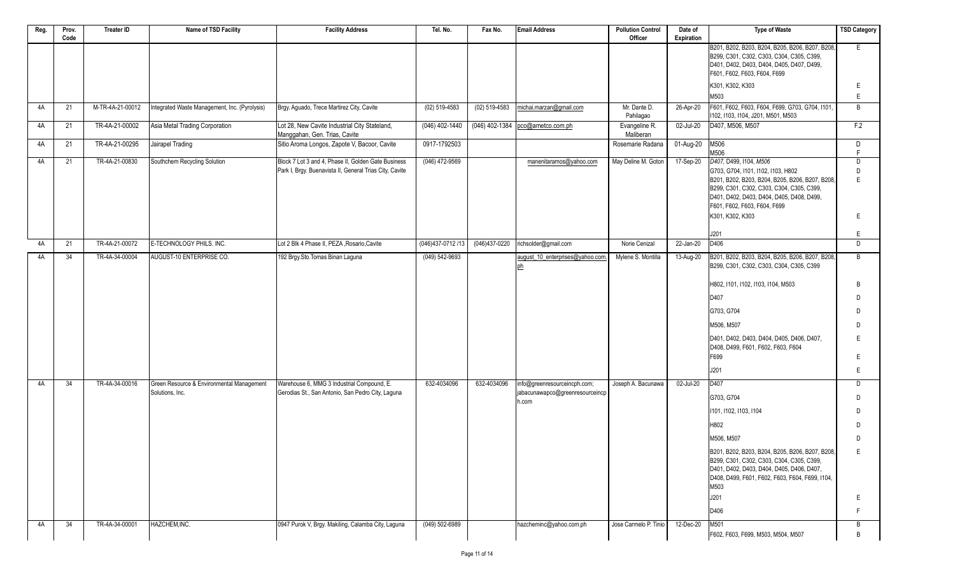| Reg. | Prov.<br>Code | <b>Treater ID</b> | Name of TSD Facility                          | <b>Facility Address</b>                                                                                        | Tel. No.           | Fax No.         | <b>Email Address</b>                     | <b>Pollution Control</b><br>Officer | Date of<br>Expiration | <b>Type of Waste</b>                                                                                                                                                                                                                                                     | <b>TSD Category</b>              |
|------|---------------|-------------------|-----------------------------------------------|----------------------------------------------------------------------------------------------------------------|--------------------|-----------------|------------------------------------------|-------------------------------------|-----------------------|--------------------------------------------------------------------------------------------------------------------------------------------------------------------------------------------------------------------------------------------------------------------------|----------------------------------|
|      |               |                   |                                               |                                                                                                                |                    |                 |                                          |                                     |                       | B201, B202, B203, B204, B205, B206, B207, B208,<br>B299, C301, C302, C303, C304, C305, C399,<br>D401, D402, D403, D404, D405, D407, D499,<br>F601, F602, F603, F604, F699                                                                                                | E.                               |
|      |               |                   |                                               |                                                                                                                |                    |                 |                                          |                                     |                       | K301, K302, K303                                                                                                                                                                                                                                                         | Ε                                |
|      |               |                   |                                               |                                                                                                                |                    |                 |                                          |                                     |                       | M503                                                                                                                                                                                                                                                                     | Ε                                |
| 4A   | 21            | M-TR-4A-21-00012  | Integrated Waste Management, Inc. (Pyrolysis) | Brgy. Aguado, Trece Martirez City, Cavite                                                                      | $(02) 519 - 4583$  | $(02)$ 519-4583 | michai.marzan@gmail.com                  | Mr. Dante D.<br>Pahilagao           | 26-Apr-20             | F601, F602, F603, F604, F699, G703, G704, I101,                                                                                                                                                                                                                          | B                                |
| 4A   | 21            | TR-4A-21-00002    | Asia Metal Trading Corporation                | Lot 28, New Cavite Industrial City Stateland,                                                                  | $(046)$ 402-1440   |                 | (046) 402-1384 pco@ametco.com.ph         | Evangeline R.                       | 02-Jul-20             | I102, I103, I104, J201, M501, M503<br>D407, M506, M507                                                                                                                                                                                                                   | F.2                              |
|      |               |                   |                                               | Manggahan, Gen. Trias, Cavite                                                                                  |                    |                 |                                          | Maliberan                           |                       |                                                                                                                                                                                                                                                                          |                                  |
| 4A   | 21            | TR-4A-21-00295    | Jairapel Trading                              | Sitio Aroma Longos, Zapote V, Bacoor, Cavite                                                                   | 0917-1792503       |                 |                                          | Rosemarie Radana                    | 01-Aug-20             | M506<br>M506                                                                                                                                                                                                                                                             | D<br>F                           |
| 4A   | 21            | TR-4A-21-00830    | Southchem Recycling Solution                  | Block 7 Lot 3 and 4, Phase II, Golden Gate Business<br>Park I, Brgy. Buenavista II, General Trias City, Cavite | $(046)$ 472-9569   |                 | manenitaramos@yahoo.com                  | May Deline M. Goton                 | 17-Sep-20             | D407, D499, I104, M506<br>G703, G704, I101, I102, I103, H802<br>B201, B202, B203, B204, B205, B206, B207, B208,<br>B299, C301, C302, C303, C304, C305, C399,<br>D401, D402, D403, D404, D405, D408, D499,<br>F601, F602, F603, F604, F699<br>K301, K302, K303            | D<br>D<br>F<br>E                 |
|      |               |                   |                                               |                                                                                                                |                    |                 |                                          |                                     |                       | J201                                                                                                                                                                                                                                                                     | Ε                                |
| 4A   | 21            | TR-4A-21-00072    | E-TECHNOLOGY PHILS. INC.                      | Lot 2 Blk 4 Phase II, PEZA , Rosario, Cavite                                                                   | (046)437-0712/13   | (046)437-0220   | richsolder@gmail.com                     | Norie Cenizal                       | 22-Jan-20             | D406                                                                                                                                                                                                                                                                     | D                                |
| 4A   | 34            | TR-4A-34-00004    | AUGUST-10 ENTERPRISE CO.                      | 192 Brgy.Sto.Tomas Binan Laguna                                                                                | $(049) 542 - 9693$ |                 | august 10 enterprises@yahoo.com.         | Mylene S. Montilla                  | 13-Aug-20             | B201, B202, B203, B204, B205, B206, B207, B208,<br>B299, C301, C302, C303, C304, C305, C399<br>H802, I101, I102, I103, I104, M503<br>D407<br>G703, G704<br>M506, M507<br>D401, D402, D403, D404, D405, D406, D407,<br>D408, D499, F601, F602, F603, F604<br>F699<br>J201 | B<br>B<br>D.<br>D<br>D<br>F<br>Ε |
| 4A   | 34            | TR-4A-34-00016    | Green Resource & Environmental Management     | Warehouse 6, MMG 3 Industrial Compound, E.                                                                     | 632-4034096        | 632-4034096     | info@greenresourceincph.com;             | Joseph A. Bacunawa                  | 02-Jul-20             | D407                                                                                                                                                                                                                                                                     | D                                |
|      |               |                   | Solutions, Inc.                               | Gerodias St., San Antonio, San Pedro City, Laguna                                                              |                    |                 | jabacunawapco@greenresourceincp<br>h.com |                                     |                       | G703, G704                                                                                                                                                                                                                                                               | D                                |
|      |               |                   |                                               |                                                                                                                |                    |                 |                                          |                                     |                       | 1101, 1102, 1103, 1104                                                                                                                                                                                                                                                   | D                                |
|      |               |                   |                                               |                                                                                                                |                    |                 |                                          |                                     |                       | H802                                                                                                                                                                                                                                                                     | D                                |
|      |               |                   |                                               |                                                                                                                |                    |                 |                                          |                                     |                       | M506, M507                                                                                                                                                                                                                                                               | D                                |
|      |               |                   |                                               |                                                                                                                |                    |                 |                                          |                                     |                       | B201, B202, B203, B204, B205, B206, B207, B208,<br>B299, C301, C302, C303, C304, C305, C399,<br>D401, D402, D403, D404, D405, D406, D407,<br>D408, D499, F601, F602, F603, F604, F699, I104,<br>M503                                                                     | Ε                                |
|      |               |                   |                                               |                                                                                                                |                    |                 |                                          |                                     |                       | J201                                                                                                                                                                                                                                                                     | Ε                                |
|      |               |                   |                                               |                                                                                                                |                    |                 |                                          |                                     |                       | D406                                                                                                                                                                                                                                                                     | F                                |
| 4A   | 34            | TR-4A-34-00001    | HAZCHEM, INC.                                 | 0947 Purok V, Brgy. Makiling, Calamba City, Laguna                                                             | $(049)$ 502-6989   |                 | hazcheminc@yahoo.com.ph                  | Jose Carmelo P. Tinio               | 12-Dec-20             | M501<br>F602, F603, F699, M503, M504, M507                                                                                                                                                                                                                               | B<br>B                           |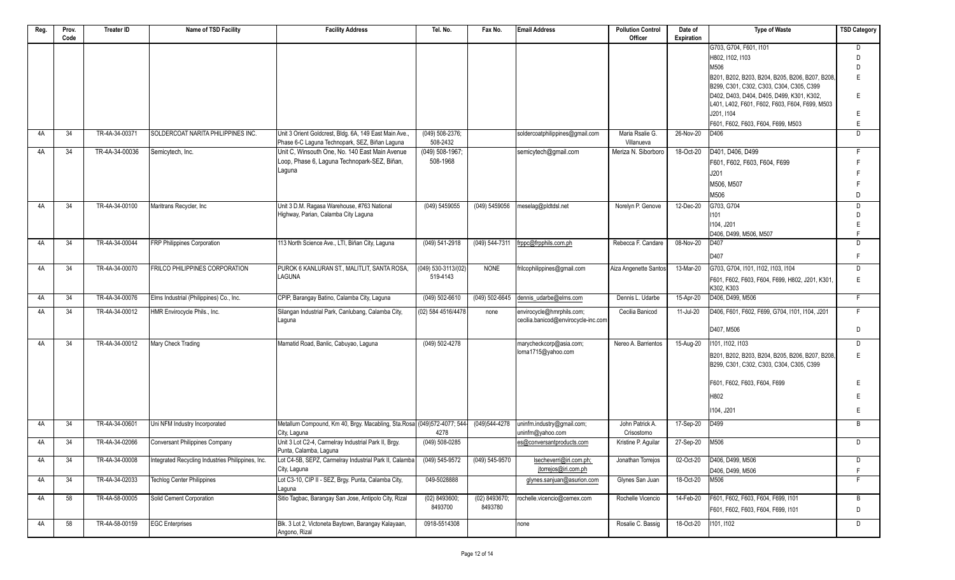| Reg. | Prov. | <b>Treater ID</b> | Name of TSD Facility                              | <b>Facility Address</b>                                                                                  | Tel. No.                        | Fax No.            | <b>Email Address</b>                | <b>Pollution Control</b>      | Date of    | <b>Type of Waste</b>                                         | <b>TSD Category</b> |
|------|-------|-------------------|---------------------------------------------------|----------------------------------------------------------------------------------------------------------|---------------------------------|--------------------|-------------------------------------|-------------------------------|------------|--------------------------------------------------------------|---------------------|
|      | Code  |                   |                                                   |                                                                                                          |                                 |                    |                                     | Officer                       | Expiration |                                                              |                     |
|      |       |                   |                                                   |                                                                                                          |                                 |                    |                                     |                               |            | G703, G704, F601, I101                                       | D                   |
|      |       |                   |                                                   |                                                                                                          |                                 |                    |                                     |                               |            | H802, I102, I103                                             | D                   |
|      |       |                   |                                                   |                                                                                                          |                                 |                    |                                     |                               |            | M506                                                         | D                   |
|      |       |                   |                                                   |                                                                                                          |                                 |                    |                                     |                               |            | B201, B202, B203, B204, B205, B206, B207, B208,              | E                   |
|      |       |                   |                                                   |                                                                                                          |                                 |                    |                                     |                               |            | B299, C301, C302, C303, C304, C305, C399                     |                     |
|      |       |                   |                                                   |                                                                                                          |                                 |                    |                                     |                               |            | D402, D403, D404, D405, D499, K301, K302,                    | E                   |
|      |       |                   |                                                   |                                                                                                          |                                 |                    |                                     |                               |            | L401, L402, F601, F602, F603, F604, F699, M503<br>J201, I104 |                     |
|      |       |                   |                                                   |                                                                                                          |                                 |                    |                                     |                               |            |                                                              | Е                   |
|      |       |                   |                                                   |                                                                                                          |                                 |                    |                                     |                               |            | F601, F602, F603, F604, F699, M503                           | E                   |
| 4A   | 34    | TR-4A-34-00371    | SOLDERCOAT NARITA PHILIPPINES INC.                | Unit 3 Orient Goldcrest, Bldg. 6A, 149 East Main Ave.,<br>Phase 6-C Laguna Technopark, SEZ, Biñan Laguna | $(049) 508 - 2376;$<br>508-2432 |                    | soldercoatphilippines@gmail.com     | Maria Rsalie G.<br>Villanueva | 26-Nov-20  | D406                                                         | D                   |
| 4A   | 34    | TR-4A-34-00036    | Semicytech, Inc.                                  | Unit C, Winsouth One, No. 140 East Main Avenue                                                           | $(049) 508 - 1967;$             |                    | semicytech@gmail.com                | Meriza N. Siborboro           | 18-Oct-20  | D401, D406, D499                                             | F                   |
|      |       |                   |                                                   | Loop, Phase 6, Laguna Technopark-SEZ, Biñan,                                                             | 508-1968                        |                    |                                     |                               |            |                                                              | F                   |
|      |       |                   |                                                   | Laguna                                                                                                   |                                 |                    |                                     |                               |            | F601, F602, F603, F604, F699                                 |                     |
|      |       |                   |                                                   |                                                                                                          |                                 |                    |                                     |                               |            | J201                                                         |                     |
|      |       |                   |                                                   |                                                                                                          |                                 |                    |                                     |                               |            | M506. M507                                                   |                     |
|      |       |                   |                                                   |                                                                                                          |                                 |                    |                                     |                               |            | M506                                                         | D                   |
| 4A   | 34    | TR-4A-34-00100    | Maritrans Recycler, Inc                           | Unit 3 D.M. Ragasa Warehouse, #763 National                                                              | (049) 5459055                   | (049) 5459056      | meselag@pldtdsl.net                 | Norelyn P. Genove             | 12-Dec-20  | G703, G704                                                   | D                   |
|      |       |                   |                                                   | Highway, Parian, Calamba City Laguna                                                                     |                                 |                    |                                     |                               |            | 1101                                                         | D                   |
|      |       |                   |                                                   |                                                                                                          |                                 |                    |                                     |                               |            | I104, J201                                                   | E                   |
|      |       |                   |                                                   |                                                                                                          |                                 |                    |                                     |                               |            | D406, D499, M506, M507                                       | F                   |
| 4A   | 34    | TR-4A-34-00044    | FRP Philippines Corporation                       | 113 North Science Ave., LTI, Biñan City, Laguna                                                          | (049) 541-2918                  | (049) 544-7311     | frppc@frpphils.com.ph               | Rebecca F. Candare            | 08-Nov-20  | D407                                                         | D                   |
|      |       |                   |                                                   |                                                                                                          |                                 |                    |                                     |                               |            | D407                                                         | F                   |
| 4A   | 34    | TR-4A-34-00070    | <b>FRILCO PHILIPPINES CORPORATION</b>             | PUROK 6 KANLURAN ST., MALITLIT, SANTA ROSA.                                                              | $(049) 530 - 3113/(02)$         | <b>NONE</b>        | frilcophilippines@gmail.com         | Aiza Angenette Santos         | 13-Mar-20  | G703, G704, I101, I102, I103, I104                           | D                   |
|      |       |                   |                                                   | LAGUNA                                                                                                   | 519-4143                        |                    |                                     |                               |            | F601, F602, F603, F604, F699, H802, J201, K301,              | E                   |
|      |       |                   |                                                   |                                                                                                          |                                 |                    |                                     |                               |            | K302, K303                                                   |                     |
| 4A   | 34    | TR-4A-34-00076    | Elms Industrial (Philippines) Co., Inc.           | CPIP, Barangay Batino, Calamba City, Laguna                                                              | (049) 502-6610                  | $(049)$ 502-6645   | dennis udarbe@elms.com              | Dennis L. Udarbe              | 15-Apr-20  | D406, D499, M506                                             | F.                  |
| 4A   | 34    | TR-4A-34-00012    | HMR Envirocycle Phils., Inc.                      | Silangan Industrial Park, Canlubang, Calamba City,                                                       | (02) 584 4516/4478              | none               | envirocycle@hmrphils.com;           | Cecilia Banicod               | 11-Jul-20  | D406, F601, F602, F699, G704, I101, I104, J201               | F.                  |
|      |       |                   |                                                   | Laguna                                                                                                   |                                 |                    | cecilia.banicod@envirocycle-inc.com |                               |            |                                                              |                     |
|      |       |                   |                                                   |                                                                                                          |                                 |                    |                                     |                               |            | D407, M506                                                   | D                   |
| 4A   | 34    | TR-4A-34-00012    | Mary Check Trading                                | Mamatid Road, Banlic, Cabuyao, Laguna                                                                    | $(049) 502 - 4278$              |                    | marycheckcorp@asia.com;             | Nereo A. Barrientos           | 15-Aug-20  | 1101, 1102, 1103                                             | D                   |
|      |       |                   |                                                   |                                                                                                          |                                 |                    | lorna1715@yahoo.com                 |                               |            |                                                              |                     |
|      |       |                   |                                                   |                                                                                                          |                                 |                    |                                     |                               |            | B201, B202, B203, B204, B205, B206, B207, B208,              | E                   |
|      |       |                   |                                                   |                                                                                                          |                                 |                    |                                     |                               |            | B299, C301, C302, C303, C304, C305, C399                     |                     |
|      |       |                   |                                                   |                                                                                                          |                                 |                    |                                     |                               |            | F601, F602, F603, F604, F699                                 | Е                   |
|      |       |                   |                                                   |                                                                                                          |                                 |                    |                                     |                               |            |                                                              |                     |
|      |       |                   |                                                   |                                                                                                          |                                 |                    |                                     |                               |            | H802                                                         | Е                   |
|      |       |                   |                                                   |                                                                                                          |                                 |                    |                                     |                               |            | I104, J201                                                   | E                   |
| 4A   | 34    | TR-4A-34-00601    | Uni NFM Industry Incorporated                     | Metallum Compound, Km 40, Brgy. Macabling, Sta.Rosa (049)572-4077; 544                                   |                                 | (049)544-4278      | uninfm.industry@gmail.com;          | John Patrick A                | 17-Sep-20  | D499                                                         | B                   |
|      |       |                   |                                                   | City, Laguna                                                                                             | 4278                            |                    | uninfm@yahoo.com                    | Crisostomo                    |            |                                                              |                     |
| 4A   | 34    | TR-4A-34-02066    | <b>Conversant Philippines Company</b>             | Unit 3 Lot C2-4, Carmelray Industrial Park II, Brgy.                                                     | $(049) 508 - 0285$              |                    | es@conversantproducts.com           | Kristine P. Aguilar           | 27-Sep-20  | M506                                                         | D                   |
|      |       |                   |                                                   | Punta, Calamba, Laguna                                                                                   |                                 |                    |                                     |                               |            |                                                              |                     |
| 4A   | 34    | TR-4A-34-00008    | Integrated Recycling Industries Philippines, Inc. | Lot C4-5B, SEPZ, Carmelray Industrial Park II, Calamba                                                   | $(049) 545 - 9572$              | $(049) 545 - 9570$ | lsecheverri@iri.com.ph;             | Jonathan Torrejos             | 02-Oct-20  | D406, D499, M506                                             | D                   |
|      |       |                   |                                                   | City, Laguna                                                                                             |                                 |                    | jtorrejos@iri.com.ph                |                               |            | D406, D499, M506                                             | F                   |
| 4A   | 34    | TR-4A-34-02033    | <b>Techlog Center Philippines</b>                 | Lot C3-10, CIP II - SEZ, Brgy. Punta, Calamba City,                                                      | 049-5028888                     |                    | glynes.sanjuan@asurion.com          | Glynes San Juan               | 18-Oct-20  | M506                                                         | F.                  |
| 4A   | 58    | TR-4A-58-00005    | Solid Cement Corporation                          | Laguna<br>Sitio Tagbac, Barangay San Jose, Antipolo City, Rizal                                          | (02) 8493600;                   | (02) 8493670;      | rochelle.vicencio@cemex.com         | Rochelle Vicencio             | 14-Feb-20  | F601, F602, F603, F604, F699, I101                           | B                   |
|      |       |                   |                                                   |                                                                                                          | 8493700                         | 8493780            |                                     |                               |            |                                                              |                     |
|      |       |                   |                                                   |                                                                                                          |                                 |                    |                                     |                               |            | F601, F602, F603, F604, F699, I101                           | D                   |
| 4A   | 58    | TR-4A-58-00159    | <b>EGC</b> Enterprises                            | Blk. 3 Lot 2, Victoneta Baytown, Barangay Kalayaan,                                                      | 0918-5514308                    |                    | none                                | Rosalie C. Bassig             | 18-Oct-20  | 1101, 1102                                                   | D                   |
|      |       |                   |                                                   | Angono, Rizal                                                                                            |                                 |                    |                                     |                               |            |                                                              |                     |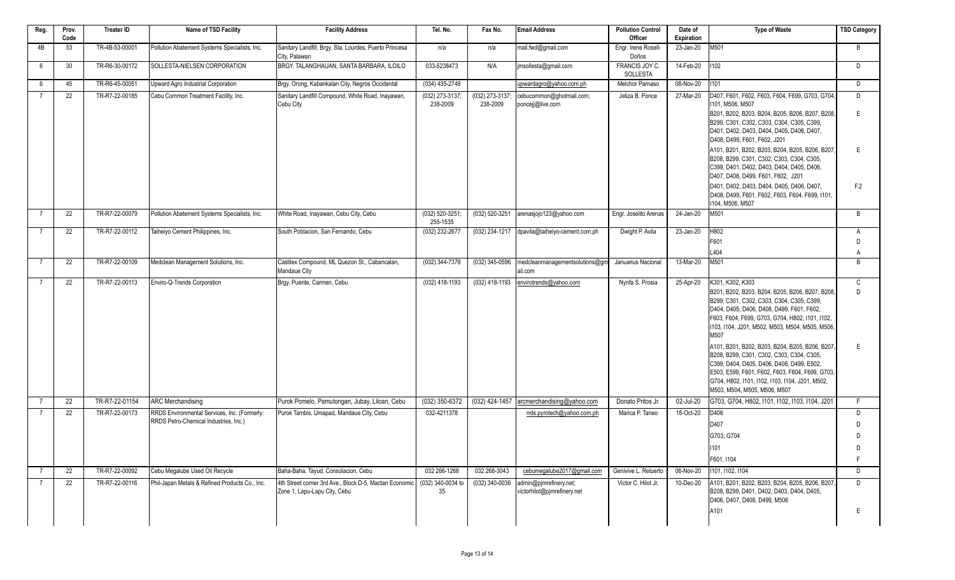| Reg.           | Prov.<br>Code | Treater ID     | Name of TSD Facility                           | <b>Facility Address</b>                                                                | Tel. No.                    | Fax No.                     | <b>Email Address</b>                                  | <b>Pollution Control</b><br>Officer | Date of<br><b>Expiration</b> | <b>Type of Waste</b>                                                                                                                                                                                                                                                                                                                                                                                                                                                                                                                                           | <b>TSD Category</b> |
|----------------|---------------|----------------|------------------------------------------------|----------------------------------------------------------------------------------------|-----------------------------|-----------------------------|-------------------------------------------------------|-------------------------------------|------------------------------|----------------------------------------------------------------------------------------------------------------------------------------------------------------------------------------------------------------------------------------------------------------------------------------------------------------------------------------------------------------------------------------------------------------------------------------------------------------------------------------------------------------------------------------------------------------|---------------------|
| 4B             | 53            | TR-4B-53-00001 | Pollution Abatement Systems Specialists, Inc.  | Sanitary Landfill, Brgy. Sta. Lourdes, Puerto Princesa<br>City, Palawan                | n/a                         | n/a                         | mail.fwd@gmail.com                                    | Engr. Irene Rosell-<br>Doños        | 23-Jan-20                    | M501                                                                                                                                                                                                                                                                                                                                                                                                                                                                                                                                                           | B                   |
| - 6            | 30            | TR-R6-30-00172 | SOLLESTA-NIELSEN CORPORATION                   | BRGY. TALANGHAUAN, SANTA BARBARA, ILOILO                                               | 033-5238473                 | N/A                         | imsollesta@gmail.com                                  | FRANCIS JOY C.<br>SOLLESTA          | 14-Feb-20                    | 1102                                                                                                                                                                                                                                                                                                                                                                                                                                                                                                                                                           | D                   |
| 6              | 45            | TR-R6-45-00051 | Upward Agro Industrial Corporation             | Brgy. Orong, Kabankalan City, Negros Occidental                                        | $(034)$ 435-2748            |                             | upwardagro@yahoo.com.ph                               | <b>Melchor Parnaso</b>              | 08-Nov-20                    | 1101                                                                                                                                                                                                                                                                                                                                                                                                                                                                                                                                                           | D                   |
| $\overline{7}$ | 22            | TR-R7-22-00185 | Cebu Common Treatment Facility, Inc.           | Sanitary Landfill Compound, White Road, Inayawan,<br>Cebu City                         | (032) 273-3137;<br>238-2009 | (032) 273-3137;<br>238-2009 | cebucommon@ghotmail.com;<br>poncejj@live.com          | Jeliza B. Ponce                     | 27-Mar-20                    | D407, F601, F602, F603, F604, F699, G703, G704.<br>1101, M506, M507<br>B201, B202, B203, B204, B205, B206, B207, B208,<br>B299, C301, C302, C303, C304, C305, C399,<br>D401, D402, D403, D404, D405, D406, D407,<br>D408, D499, F601, F602, J201                                                                                                                                                                                                                                                                                                               | D<br>E              |
|                |               |                |                                                |                                                                                        |                             |                             |                                                       |                                     |                              | A101, B201, B202, B203, B204, B205, B206, B207.<br>B208, B299, C301, C302, C303, C304, C305,<br>C399, D401, D402, D403, D404, D405, D406,<br>D407, D408, D499, F601, F602, J201<br>D401, D402, D403, D404, D405, D406, D407,                                                                                                                                                                                                                                                                                                                                   | E<br>F.2            |
|                |               |                |                                                |                                                                                        |                             |                             |                                                       |                                     |                              | D408, D499, F601, F602, F603, F604, F699, I101,<br>1104, M506, M507                                                                                                                                                                                                                                                                                                                                                                                                                                                                                            |                     |
| -7             | 22            | TR-R7-22-00079 | Pollution Abatement Systems Specialists, Inc.  | White Road, Inayawan, Cebu City, Cebu                                                  | (032) 520-3251;<br>255-1535 | (032) 520-3251              | arenasjojo123@yahoo.com                               | Engr. Joselito Arenas               | 24-Jan-20                    | M501                                                                                                                                                                                                                                                                                                                                                                                                                                                                                                                                                           | B                   |
| - 7            | 22            | TR-R7-22-00112 | Taiheiyo Cement Philippines, Inc.              | South Poblacion, San Fernando, Cebu                                                    | (032) 232-2677              | (032) 234-1217              | dpavila@taiheiyo-cement.com.ph                        | Dwight P. Avila                     | 23-Jan-20                    | H802<br>F601<br>L404                                                                                                                                                                                                                                                                                                                                                                                                                                                                                                                                           | A<br>D<br>A         |
| $\overline{7}$ | 22            | TR-R7-22-00109 | Medclean Management Solutions, Inc.            | Castilex Compound, ML Quezon St., Cabancalan,                                          | (032) 344-7378              | $(032)$ 345-0596            | medcleanmanagementsolutions@gm                        | Januarius Nacional                  | 13-Mar-20                    | M501                                                                                                                                                                                                                                                                                                                                                                                                                                                                                                                                                           | B                   |
|                |               |                |                                                | Mandaue City                                                                           |                             |                             | ail.com                                               |                                     |                              |                                                                                                                                                                                                                                                                                                                                                                                                                                                                                                                                                                |                     |
|                | 22            | TR-R7-22-00113 | Enviro-Q-Trends Corporation                    | Brgy. Puente, Carmen, Cebu                                                             | (032) 418-1193              | (032) 418-1193              | envirotrends@yahoo.com                                | Nynfa S. Prosia                     | 25-Apr-20                    | K301, K302, K303<br>B201, B202, B203, B204, B205, B206, B207, B208,<br>B299, C301, C302, C303, C304, C305, C399,<br>D404, D405, D406, D408, D499, F601, F602,<br>F603, F604, F699, G703, G704, H802, I101, I102,<br>1103, 1104, J201, M502, M503, M504, M505, M506,<br>M507<br>A101, B201, B202, B203, B204, B205, B206, B207,<br>B208, B299, C301, C302, C303, C304, C305,<br>C399, D404, D405, D406, D408, D499, E502,<br>E503, E599, F601, F602, F603, F604, F699, G703,<br>G704, H802, I101, I102, I103, I104, J201, M502,<br>M503, M504, M505, M506, M507 | C<br>D<br>E         |
|                | 22            | TR-R7-22-01154 | <b>ARC Merchandising</b>                       | Purok Pomelo, Pamutongan, Jubay, Liloan, Cebu                                          | $(032)$ 350-6372            | (032) 424-1457              | arcmerchandising@vahoo.com                            | Donato Pritos Jr.                   | 02-Jul-20                    | G703, G704, H802, I101, I102, I103, I104, J201                                                                                                                                                                                                                                                                                                                                                                                                                                                                                                                 | F                   |
| $\overline{7}$ | 22            | TR-R7-22-00173 | RRDS Environmental Services, Inc. (Formerly:   | Purok Tambis. Umapad. Mandaue City. Cebu                                               | 032-4211378                 |                             | rrds.pyrotech@yahoo.com.ph                            | Marica P. Taneo                     | 18-Oct-20                    | D406                                                                                                                                                                                                                                                                                                                                                                                                                                                                                                                                                           | D                   |
|                |               |                | RRDS Petro-Chemical Industries, Inc.)          |                                                                                        |                             |                             |                                                       |                                     |                              | D407                                                                                                                                                                                                                                                                                                                                                                                                                                                                                                                                                           | D                   |
|                |               |                |                                                |                                                                                        |                             |                             |                                                       |                                     |                              | G703, G704                                                                                                                                                                                                                                                                                                                                                                                                                                                                                                                                                     | D                   |
|                |               |                |                                                |                                                                                        |                             |                             |                                                       |                                     |                              | 1101                                                                                                                                                                                                                                                                                                                                                                                                                                                                                                                                                           | D                   |
|                |               |                |                                                |                                                                                        |                             |                             |                                                       |                                     |                              | F601, I104                                                                                                                                                                                                                                                                                                                                                                                                                                                                                                                                                     | F                   |
| -7             | 22            | TR-R7-22-00092 | Cebu Megalube Used Oil Recycle                 | Baha-Baha, Tavud, Consolacion, Cebu                                                    | 032 266-1268                | 032 268-3043                | cebumegalube2017@gmail.com                            | Genivive L. Retuerto                | 06-Nov-20                    | 1101, 1102, 1104                                                                                                                                                                                                                                                                                                                                                                                                                                                                                                                                               | D                   |
| $\overline{7}$ | 22            | TR-R7-22-00116 | Phil-Japan Metals & Refined Products Co., Inc. | 4th Street corner 3rd Ave., Block D-5, Mactan Economic<br>Zone 1, Lapu-Lapu City, Cebu | (032) 340-0034 to<br>35     | $(032)$ 340-0036            | admin@pjmrefinery.net;<br>victorhilot@pjmrefinery.net | Victor C. Hilot Jr.                 | 10-Dec-20                    | A101, B201, B202, B203, B204, B205, B206, B207<br>B208, B299, D401, D402, D403, D404, D405,<br>D406, D407, D408, D499, M506                                                                                                                                                                                                                                                                                                                                                                                                                                    | D                   |
|                |               |                |                                                |                                                                                        |                             |                             |                                                       |                                     |                              | A101                                                                                                                                                                                                                                                                                                                                                                                                                                                                                                                                                           | Е                   |